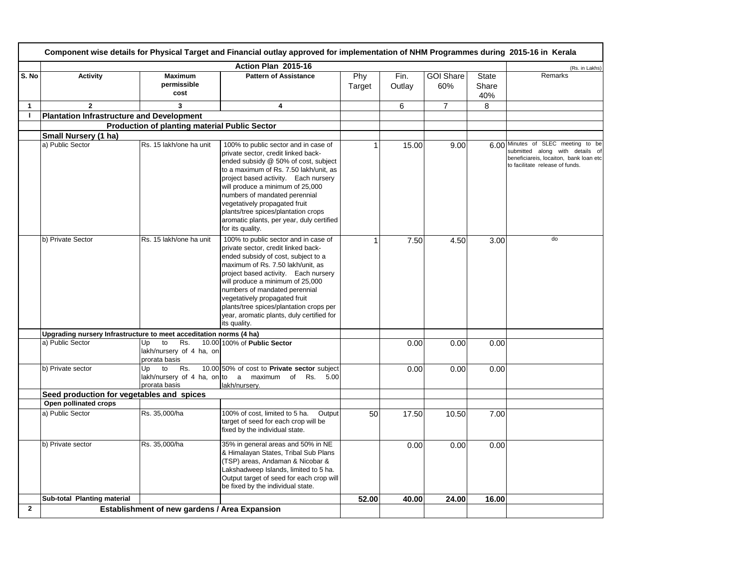|                | Component wise details for Physical Target and Financial outlay approved for implementation of NHM Programmes during 2015-16 in Kerala |                                                              |                                                                                                                                                                                                                                                                                                                                                                                                                     |               |                |                         |                              |                                                                                                                                                    |  |
|----------------|----------------------------------------------------------------------------------------------------------------------------------------|--------------------------------------------------------------|---------------------------------------------------------------------------------------------------------------------------------------------------------------------------------------------------------------------------------------------------------------------------------------------------------------------------------------------------------------------------------------------------------------------|---------------|----------------|-------------------------|------------------------------|----------------------------------------------------------------------------------------------------------------------------------------------------|--|
|                |                                                                                                                                        |                                                              | Action Plan 2015-16                                                                                                                                                                                                                                                                                                                                                                                                 |               |                |                         |                              | (Rs. in Lakhs)                                                                                                                                     |  |
| S. No          | <b>Activity</b>                                                                                                                        | <b>Maximum</b><br>permissible<br>cost                        | <b>Pattern of Assistance</b>                                                                                                                                                                                                                                                                                                                                                                                        | Phy<br>Target | Fin.<br>Outlay | <b>GOI Share</b><br>60% | <b>State</b><br>Share<br>40% | Remarks                                                                                                                                            |  |
| 1              | $\overline{2}$                                                                                                                         | 3                                                            | 4                                                                                                                                                                                                                                                                                                                                                                                                                   |               | 6              | $\overline{7}$          | 8                            |                                                                                                                                                    |  |
| $\overline{1}$ | <b>Plantation Infrastructure and Development</b>                                                                                       |                                                              |                                                                                                                                                                                                                                                                                                                                                                                                                     |               |                |                         |                              |                                                                                                                                                    |  |
|                |                                                                                                                                        | Production of planting material Public Sector                |                                                                                                                                                                                                                                                                                                                                                                                                                     |               |                |                         |                              |                                                                                                                                                    |  |
|                | Small Nursery (1 ha)                                                                                                                   |                                                              |                                                                                                                                                                                                                                                                                                                                                                                                                     |               |                |                         |                              |                                                                                                                                                    |  |
|                | a) Public Sector                                                                                                                       | Rs. 15 lakh/one ha unit                                      | 100% to public sector and in case of<br>private sector, credit linked back-<br>ended subsidy @ 50% of cost, subject<br>to a maximum of Rs. 7.50 lakh/unit, as<br>project based activity. Each nursery<br>will produce a minimum of 25,000<br>numbers of mandated perennial<br>vegetatively propagated fruit<br>plants/tree spices/plantation crops<br>aromatic plants, per year, duly certified<br>for its quality. |               | 15.00          | 9.00                    |                              | 6.00 Minutes of SLEC meeting to be<br>submitted along with details of<br>beneficiareis, locaiton, bank loan etc<br>to facilitate release of funds. |  |
|                | b) Private Sector                                                                                                                      | Rs. 15 lakh/one ha unit                                      | 100% to public sector and in case of<br>private sector, credit linked back-<br>ended subsidy of cost, subject to a<br>maximum of Rs. 7.50 lakh/unit, as<br>project based activity. Each nursery<br>will produce a minimum of 25,000<br>numbers of mandated perennial<br>vegetatively propagated fruit<br>plants/tree spices/plantation crops per<br>year, aromatic plants, duly certified for<br>its quality.       |               | 7.50           | 4.50                    | 3.00                         | do                                                                                                                                                 |  |
|                | Upgrading nursery Infrastructure to meet acceditation norms (4 ha)                                                                     |                                                              |                                                                                                                                                                                                                                                                                                                                                                                                                     |               |                |                         |                              |                                                                                                                                                    |  |
|                | a) Public Sector                                                                                                                       | to<br>Rs.<br>Up<br>lakh/nursery of 4 ha, on<br>prorata basis | 10.00 100% of Public Sector                                                                                                                                                                                                                                                                                                                                                                                         |               | 0.00           | 0.00                    | 0.00                         |                                                                                                                                                    |  |
|                | b) Private sector                                                                                                                      | to<br>Rs.<br>Up<br>prorata basis                             | 10.00 50% of cost to Private sector subject<br>lakh/nursery of 4 ha, on to a maximum of Rs. $5.00$<br>lakh/nursery.                                                                                                                                                                                                                                                                                                 |               | 0.00           | 0.00                    | 0.00                         |                                                                                                                                                    |  |
|                | Seed production for vegetables and spices                                                                                              |                                                              |                                                                                                                                                                                                                                                                                                                                                                                                                     |               |                |                         |                              |                                                                                                                                                    |  |
|                | Open pollinated crops                                                                                                                  |                                                              |                                                                                                                                                                                                                                                                                                                                                                                                                     |               |                |                         |                              |                                                                                                                                                    |  |
|                | a) Public Sector                                                                                                                       | Rs. 35,000/ha                                                | 100% of cost, limited to 5 ha.<br>Output<br>target of seed for each crop will be<br>fixed by the individual state.                                                                                                                                                                                                                                                                                                  | 50            | 17.50          | 10.50                   | 7.00                         |                                                                                                                                                    |  |
|                | b) Private sector                                                                                                                      | Rs. 35,000/ha                                                | 35% in general areas and 50% in NE<br>& Himalayan States, Tribal Sub Plans<br>(TSP) areas, Andaman & Nicobar &<br>Lakshadweep Islands, limited to 5 ha.<br>Output target of seed for each crop will<br>be fixed by the individual state.                                                                                                                                                                            |               | 0.00           | 0.00                    | 0.00                         |                                                                                                                                                    |  |
|                | Sub-total Planting material                                                                                                            |                                                              |                                                                                                                                                                                                                                                                                                                                                                                                                     | 52.00         | 40.00          | 24.00                   | 16.00                        |                                                                                                                                                    |  |
| $\mathbf{2}$   |                                                                                                                                        | Establishment of new gardens / Area Expansion                |                                                                                                                                                                                                                                                                                                                                                                                                                     |               |                |                         |                              |                                                                                                                                                    |  |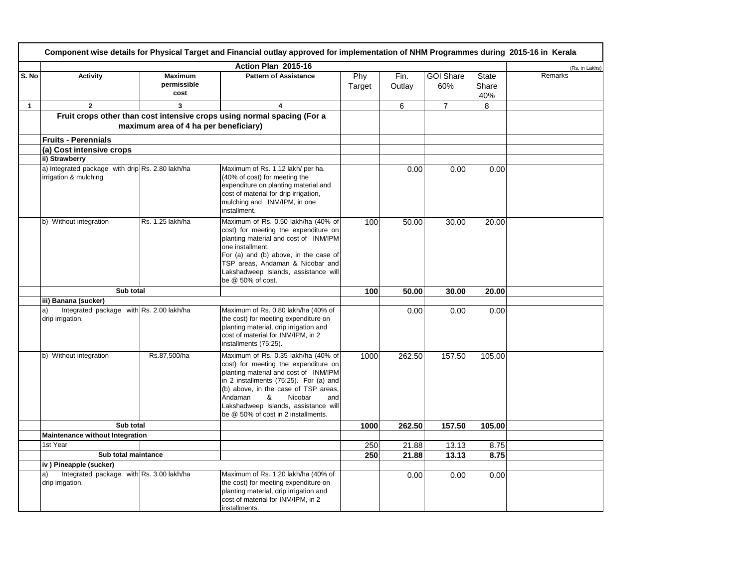|       | Component wise details for Physical Target and Financial outlay approved for implementation of NHM Programmes during 2015-16 in Kerala |                                       |                                                                                                                                                                                                                                                                                                                         |               |                |                         |                              |                |  |  |
|-------|----------------------------------------------------------------------------------------------------------------------------------------|---------------------------------------|-------------------------------------------------------------------------------------------------------------------------------------------------------------------------------------------------------------------------------------------------------------------------------------------------------------------------|---------------|----------------|-------------------------|------------------------------|----------------|--|--|
|       |                                                                                                                                        |                                       | Action Plan 2015-16                                                                                                                                                                                                                                                                                                     |               |                |                         |                              | (Rs. in Lakhs) |  |  |
| S. No | <b>Activity</b>                                                                                                                        | <b>Maximum</b><br>permissible<br>cost | <b>Pattern of Assistance</b>                                                                                                                                                                                                                                                                                            | Phy<br>Target | Fin.<br>Outlay | <b>GOI Share</b><br>60% | <b>State</b><br>Share<br>40% | Remarks        |  |  |
| 1     | $\overline{2}$                                                                                                                         | 3                                     | 4                                                                                                                                                                                                                                                                                                                       |               | 6              | $\overline{7}$          | 8                            |                |  |  |
|       |                                                                                                                                        | maximum area of 4 ha per beneficiary) | Fruit crops other than cost intensive crops using normal spacing (For a                                                                                                                                                                                                                                                 |               |                |                         |                              |                |  |  |
|       | <b>Fruits - Perennials</b>                                                                                                             |                                       |                                                                                                                                                                                                                                                                                                                         |               |                |                         |                              |                |  |  |
|       | (a) Cost intensive crops                                                                                                               |                                       |                                                                                                                                                                                                                                                                                                                         |               |                |                         |                              |                |  |  |
|       | ii) Strawberry                                                                                                                         |                                       |                                                                                                                                                                                                                                                                                                                         |               |                |                         |                              |                |  |  |
|       | a) Integrated package with drip Rs. 2.80 lakh/ha<br>irrigation & mulching                                                              |                                       | Maximum of Rs. 1.12 lakh/ per ha.<br>(40% of cost) for meeting the<br>expenditure on planting material and<br>cost of material for drip irrigation,<br>mulching and INM/IPM, in one<br>installment.                                                                                                                     |               | 0.00           | 0.00                    | 0.00                         |                |  |  |
|       | b) Without integration                                                                                                                 | Rs. 1.25 lakh/ha                      | Maximum of Rs. 0.50 lakh/ha (40% of<br>cost) for meeting the expenditure on<br>planting material and cost of INM/IPM<br>one installment.<br>For (a) and (b) above, in the case of<br>TSP areas, Andaman & Nicobar and<br>Lakshadweep Islands, assistance will<br>be @ 50% of cost.                                      | 100           | 50.00          | 30.00                   | 20.00                        |                |  |  |
|       | Sub total                                                                                                                              |                                       |                                                                                                                                                                                                                                                                                                                         | 100           | 50.00          | 30.00                   | 20.00                        |                |  |  |
|       | iii) Banana (sucker)                                                                                                                   |                                       |                                                                                                                                                                                                                                                                                                                         |               |                |                         |                              |                |  |  |
|       | Integrated package with Rs. 2.00 lakh/ha<br>a)<br>drip irrigation.                                                                     |                                       | Maximum of Rs. 0.80 lakh/ha (40% of<br>the cost) for meeting expenditure on<br>planting material, drip irrigation and<br>cost of material for INM/IPM, in 2<br>installments (75:25).                                                                                                                                    |               | 0.00           | 0.00                    | 0.00                         |                |  |  |
|       | b) Without integration                                                                                                                 | Rs.87,500/ha                          | Maximum of Rs. 0.35 lakh/ha (40% of<br>cost) for meeting the expenditure on<br>planting material and cost of INM/IPM<br>in 2 installments (75:25). For (a) and<br>(b) above, in the case of TSP areas,<br>Andaman<br>&<br>Nicobar<br>and<br>Lakshadweep Islands, assistance will<br>be @ 50% of cost in 2 installments. | 1000          | 262.50         | 157.50                  | 105.00                       |                |  |  |
|       | Sub total                                                                                                                              |                                       |                                                                                                                                                                                                                                                                                                                         | 1000          | 262.50         | 157.50                  | 105.00                       |                |  |  |
|       | Maintenance without Integration                                                                                                        |                                       |                                                                                                                                                                                                                                                                                                                         |               |                |                         |                              |                |  |  |
|       | 1st Year                                                                                                                               |                                       |                                                                                                                                                                                                                                                                                                                         | 250           | 21.88          | 13.13                   | 8.75                         |                |  |  |
|       | Sub total maintance                                                                                                                    |                                       |                                                                                                                                                                                                                                                                                                                         | 250           | 21.88          | 13.13                   | 8.75                         |                |  |  |
|       | iv) Pineapple (sucker)                                                                                                                 |                                       |                                                                                                                                                                                                                                                                                                                         |               |                |                         |                              |                |  |  |
|       | Integrated package with Rs. 3.00 lakh/ha<br>a)<br>drip irrigation.                                                                     |                                       | Maximum of Rs. 1.20 lakh/ha (40% of<br>the cost) for meeting expenditure on<br>planting material, drip irrigation and<br>cost of material for INM/IPM, in 2<br>installments.                                                                                                                                            |               | 0.00           | 0.00                    | 0.00                         |                |  |  |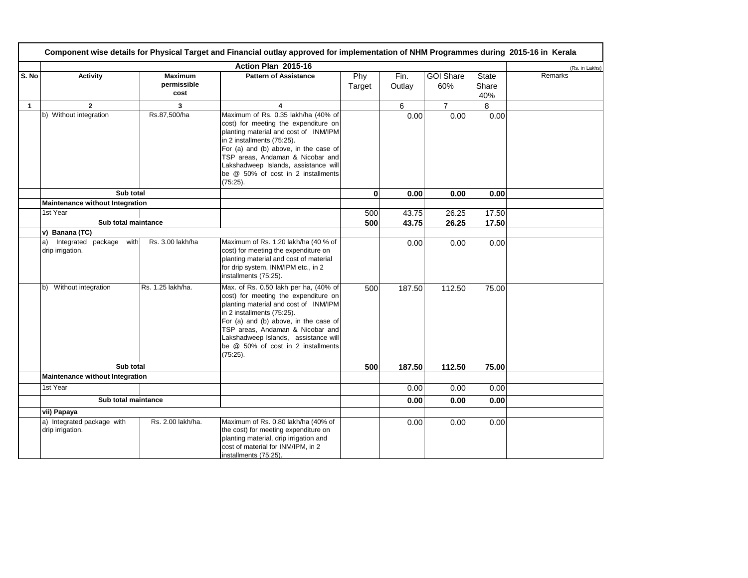|              | Component wise details for Physical Target and Financial outlay approved for implementation of NHM Programmes during 2015-16 in Kerala |                                       |                                                                                                                                                                                                                                                                                                                                |               |                |                         |                              |                |  |
|--------------|----------------------------------------------------------------------------------------------------------------------------------------|---------------------------------------|--------------------------------------------------------------------------------------------------------------------------------------------------------------------------------------------------------------------------------------------------------------------------------------------------------------------------------|---------------|----------------|-------------------------|------------------------------|----------------|--|
|              |                                                                                                                                        |                                       | Action Plan 2015-16                                                                                                                                                                                                                                                                                                            |               |                |                         |                              | (Rs. in Lakhs) |  |
| S. No        | Activity                                                                                                                               | <b>Maximum</b><br>permissible<br>cost | <b>Pattern of Assistance</b>                                                                                                                                                                                                                                                                                                   | Phy<br>Target | Fin.<br>Outlay | <b>GOI Share</b><br>60% | <b>State</b><br>Share<br>40% | Remarks        |  |
| $\mathbf{1}$ | $\overline{2}$                                                                                                                         | 3                                     | 4                                                                                                                                                                                                                                                                                                                              |               | 6              | $\overline{7}$          | 8                            |                |  |
|              | b) Without integration                                                                                                                 | Rs.87,500/ha                          | Maximum of Rs. 0.35 lakh/ha (40% of<br>cost) for meeting the expenditure on<br>planting material and cost of INM/IPM<br>in 2 installments (75:25).<br>For (a) and (b) above, in the case of<br>TSP areas, Andaman & Nicobar and<br>Lakshadweep Islands, assistance will<br>be @ 50% of cost in 2 installments<br>$(75:25)$ .   |               | 0.00           | 0.00                    | 0.00                         |                |  |
|              | Sub total                                                                                                                              |                                       |                                                                                                                                                                                                                                                                                                                                | $\mathbf{0}$  | 0.00           | 0.00                    | 0.00                         |                |  |
|              | Maintenance without Integration                                                                                                        |                                       |                                                                                                                                                                                                                                                                                                                                |               |                |                         |                              |                |  |
|              | 1st Year                                                                                                                               |                                       |                                                                                                                                                                                                                                                                                                                                | 500           | 43.75          | 26.25                   | 17.50                        |                |  |
|              | Sub total maintance                                                                                                                    |                                       |                                                                                                                                                                                                                                                                                                                                | 500           | 43.75          | 26.25                   | 17.50                        |                |  |
|              | v) Banana (TC)<br>Integrated package with<br>a)<br>drip irrigation.                                                                    | Rs. 3.00 lakh/ha                      | Maximum of Rs. 1.20 lakh/ha (40 % of<br>cost) for meeting the expenditure on<br>planting material and cost of material<br>for drip system, INM/IPM etc., in 2<br>installments (75:25).                                                                                                                                         |               | 0.00           | 0.00                    | 0.00                         |                |  |
|              | b) Without integration                                                                                                                 | Rs. 1.25 lakh/ha.                     | Max. of Rs. 0.50 lakh per ha, (40% of<br>cost) for meeting the expenditure on<br>planting material and cost of INM/IPM<br>in 2 installments (75:25).<br>For (a) and (b) above, in the case of<br>TSP areas, Andaman & Nicobar and<br>Lakshadweep Islands, assistance will<br>be @ 50% of cost in 2 installments<br>$(75:25)$ . | 500           | 187.50         | 112.50                  | 75.00                        |                |  |
|              | Sub total                                                                                                                              |                                       |                                                                                                                                                                                                                                                                                                                                | 500           | 187.50         | 112.50                  | 75.00                        |                |  |
|              | Maintenance without Integration                                                                                                        |                                       |                                                                                                                                                                                                                                                                                                                                |               |                |                         |                              |                |  |
|              | 1st Year                                                                                                                               |                                       |                                                                                                                                                                                                                                                                                                                                |               | 0.00           | 0.00                    | 0.00                         |                |  |
|              | Sub total maintance                                                                                                                    |                                       |                                                                                                                                                                                                                                                                                                                                |               | 0.00           | 0.00                    | 0.00                         |                |  |
|              | vii) Papaya                                                                                                                            |                                       |                                                                                                                                                                                                                                                                                                                                |               |                |                         |                              |                |  |
|              | a) Integrated package with<br>drip irrigation.                                                                                         | Rs. 2.00 lakh/ha.                     | Maximum of Rs. 0.80 lakh/ha (40% of<br>the cost) for meeting expenditure on<br>planting material, drip irrigation and<br>cost of material for INM/IPM, in 2<br>installments (75:25).                                                                                                                                           |               | 0.00           | 0.00                    | 0.00                         |                |  |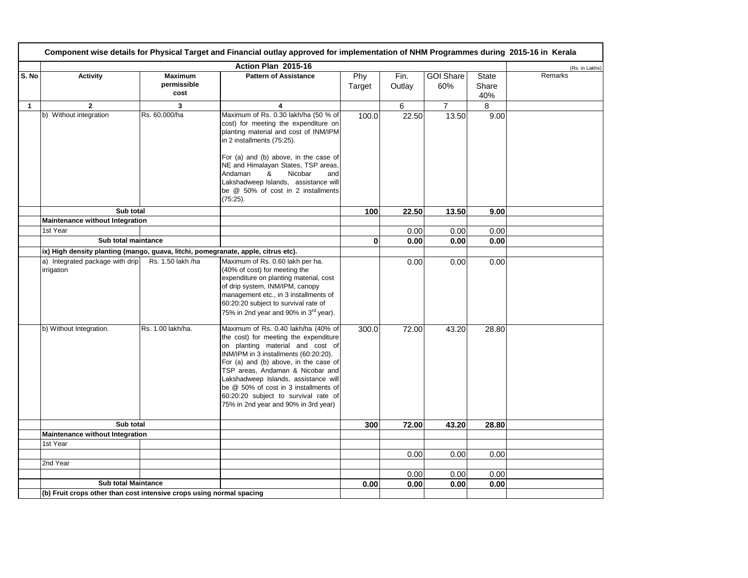|              | Component wise details for Physical Target and Financial outlay approved for implementation of NHM Programmes during 2015-16 in Kerala |                                       |                                                                                                                                                                                                                                                                                                                                                                                                         |               |                |                         |                              |                |  |
|--------------|----------------------------------------------------------------------------------------------------------------------------------------|---------------------------------------|---------------------------------------------------------------------------------------------------------------------------------------------------------------------------------------------------------------------------------------------------------------------------------------------------------------------------------------------------------------------------------------------------------|---------------|----------------|-------------------------|------------------------------|----------------|--|
|              |                                                                                                                                        |                                       | Action Plan 2015-16                                                                                                                                                                                                                                                                                                                                                                                     |               |                |                         |                              | (Rs. in Lakhs) |  |
| S. No        | <b>Activity</b>                                                                                                                        | <b>Maximum</b><br>permissible<br>cost | <b>Pattern of Assistance</b>                                                                                                                                                                                                                                                                                                                                                                            | Phy<br>Target | Fin.<br>Outlay | <b>GOI Share</b><br>60% | <b>State</b><br>Share<br>40% | Remarks        |  |
| $\mathbf{1}$ | $\mathbf{2}$                                                                                                                           | 3                                     | 4                                                                                                                                                                                                                                                                                                                                                                                                       |               | 6              | $\overline{7}$          | 8                            |                |  |
|              | b) Without integration                                                                                                                 | Rs. 60,000/ha                         | Maximum of Rs. 0.30 lakh/ha (50 % of<br>cost) for meeting the expenditure on<br>planting material and cost of INM/IPM<br>in 2 installments (75:25).<br>For (a) and (b) above, in the case of                                                                                                                                                                                                            | 100.0         | 22.50          | 13.50                   | 9.00                         |                |  |
|              |                                                                                                                                        |                                       | NE and Himalayan States, TSP areas,<br>Andaman<br>&<br>Nicobar<br>and<br>Lakshadweep Islands, assistance will<br>be @ 50% of cost in 2 installments<br>$(75:25)$ .                                                                                                                                                                                                                                      |               |                |                         |                              |                |  |
|              | Sub total                                                                                                                              |                                       |                                                                                                                                                                                                                                                                                                                                                                                                         | 100           | 22.50          | 13.50                   | 9.00                         |                |  |
|              | Maintenance without Integration                                                                                                        |                                       |                                                                                                                                                                                                                                                                                                                                                                                                         |               |                |                         |                              |                |  |
|              | 1st Year                                                                                                                               |                                       |                                                                                                                                                                                                                                                                                                                                                                                                         |               | 0.00           | 0.00                    | 0.00                         |                |  |
|              | Sub total maintance                                                                                                                    |                                       |                                                                                                                                                                                                                                                                                                                                                                                                         | 0             | 0.00           | 0.00                    | 0.00                         |                |  |
|              | ix) High density planting (mango, guava, litchi, pomegranate, apple, citrus etc).                                                      |                                       |                                                                                                                                                                                                                                                                                                                                                                                                         |               |                |                         |                              |                |  |
|              | a) Integrated package with drip<br>irrigation                                                                                          | Rs. 1.50 lakh /ha                     | Maximum of Rs. 0.60 lakh per ha.<br>(40% of cost) for meeting the<br>expenditure on planting material, cost<br>of drip system, INM/IPM, canopy<br>management etc., in 3 installments of<br>60:20:20 subject to survival rate of<br>75% in 2nd year and 90% in 3 <sup>rd</sup> year).                                                                                                                    |               | 0.00           | 0.00                    | 0.00                         |                |  |
|              | b) Without Integration.                                                                                                                | Rs. 1.00 lakh/ha.                     | Maximum of Rs. 0.40 lakh/ha (40% of<br>the cost) for meeting the expenditure<br>on planting material and cost of<br>INM/IPM in 3 installments (60:20:20).<br>For (a) and (b) above, in the case of<br>TSP areas, Andaman & Nicobar and<br>Lakshadweep Islands, assistance will<br>be @ 50% of cost in 3 installments of<br>60:20:20 subject to survival rate of<br>75% in 2nd year and 90% in 3rd year) | 300.0         | 72.00          | 43.20                   | 28.80                        |                |  |
|              | Sub total                                                                                                                              |                                       |                                                                                                                                                                                                                                                                                                                                                                                                         | 300           | 72.00          | 43.20                   | 28.80                        |                |  |
|              | Maintenance without Integration                                                                                                        |                                       |                                                                                                                                                                                                                                                                                                                                                                                                         |               |                |                         |                              |                |  |
|              | 1st Year                                                                                                                               |                                       |                                                                                                                                                                                                                                                                                                                                                                                                         |               |                |                         |                              |                |  |
|              |                                                                                                                                        |                                       |                                                                                                                                                                                                                                                                                                                                                                                                         |               | 0.00           | 0.00                    | 0.00                         |                |  |
|              | 2nd Year                                                                                                                               |                                       |                                                                                                                                                                                                                                                                                                                                                                                                         |               |                |                         |                              |                |  |
|              |                                                                                                                                        |                                       |                                                                                                                                                                                                                                                                                                                                                                                                         |               | 0.00           | 0.00                    | 0.00                         |                |  |
|              | <b>Sub total Maintance</b>                                                                                                             |                                       |                                                                                                                                                                                                                                                                                                                                                                                                         | 0.00          | 0.00           | 0.00                    | 0.00                         |                |  |
|              | (b) Fruit crops other than cost intensive crops using normal spacing                                                                   |                                       |                                                                                                                                                                                                                                                                                                                                                                                                         |               |                |                         |                              |                |  |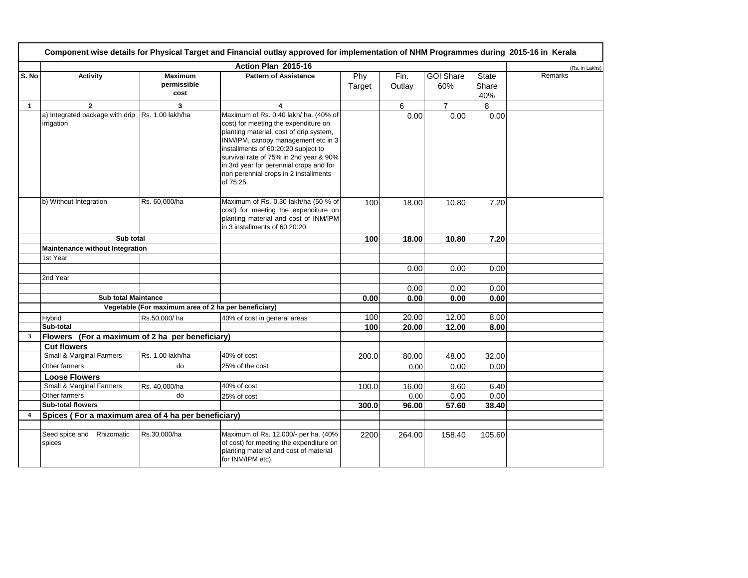|                         | Component wise details for Physical Target and Financial outlay approved for implementation of NHM Programmes during 2015-16 in Kerala |                                                      |                                                                                                                                                                                                                                                                                                                                                   |               |                |                         |                              |                |  |  |
|-------------------------|----------------------------------------------------------------------------------------------------------------------------------------|------------------------------------------------------|---------------------------------------------------------------------------------------------------------------------------------------------------------------------------------------------------------------------------------------------------------------------------------------------------------------------------------------------------|---------------|----------------|-------------------------|------------------------------|----------------|--|--|
|                         |                                                                                                                                        |                                                      | Action Plan 2015-16                                                                                                                                                                                                                                                                                                                               |               |                |                         |                              | (Rs. in Lakhs) |  |  |
| S. No                   | <b>Activity</b>                                                                                                                        | <b>Maximum</b><br>permissible<br>cost                | <b>Pattern of Assistance</b>                                                                                                                                                                                                                                                                                                                      | Phy<br>Target | Fin.<br>Outlay | <b>GOI Share</b><br>60% | <b>State</b><br>Share<br>40% | Remarks        |  |  |
| $\mathbf{1}$            | $\overline{2}$                                                                                                                         | 3                                                    | $\overline{\mathbf{4}}$                                                                                                                                                                                                                                                                                                                           |               | 6              | $\overline{7}$          | 8                            |                |  |  |
|                         | a) Integrated package with drip<br>irrigation                                                                                          | Rs. 1.00 lakh/ha                                     | Maximum of Rs. 0.40 lakh/ ha. (40% of<br>cost) for meeting the expenditure on<br>planting material, cost of drip system,<br>INM/IPM, canopy management etc in 3<br>installments of 60:20:20 subject to<br>survival rate of 75% in 2nd year & 90%<br>in 3rd year for perennial crops and for<br>non perennial crops in 2 installments<br>of 75:25. |               | 0.00           | 0.00                    | 0.00                         |                |  |  |
|                         | b) Without Integration                                                                                                                 | Rs. 60,000/ha                                        | Maximum of Rs. 0.30 lakh/ha (50 % of<br>cost) for meeting the expenditure on<br>planting material and cost of INM/IPM<br>in 3 installments of 60:20:20.                                                                                                                                                                                           | 100           | 18.00          | 10.80                   | 7.20                         |                |  |  |
|                         | Sub total                                                                                                                              |                                                      |                                                                                                                                                                                                                                                                                                                                                   | 100           | 18.00          | 10.80                   | 7.20                         |                |  |  |
|                         | Maintenance without Integration                                                                                                        |                                                      |                                                                                                                                                                                                                                                                                                                                                   |               |                |                         |                              |                |  |  |
|                         | 1st Year                                                                                                                               |                                                      |                                                                                                                                                                                                                                                                                                                                                   |               |                |                         |                              |                |  |  |
|                         |                                                                                                                                        |                                                      |                                                                                                                                                                                                                                                                                                                                                   |               | 0.00           | 0.00                    | 0.00                         |                |  |  |
|                         | 2nd Year                                                                                                                               |                                                      |                                                                                                                                                                                                                                                                                                                                                   |               |                |                         |                              |                |  |  |
|                         |                                                                                                                                        |                                                      |                                                                                                                                                                                                                                                                                                                                                   |               | 0.00           | 0.00                    | 0.00                         |                |  |  |
|                         | <b>Sub total Maintance</b>                                                                                                             |                                                      |                                                                                                                                                                                                                                                                                                                                                   | 0.00          | 0.00           | 0.00                    | 0.00                         |                |  |  |
|                         |                                                                                                                                        | Vegetable (For maximum area of 2 ha per beneficiary) |                                                                                                                                                                                                                                                                                                                                                   |               |                |                         |                              |                |  |  |
|                         | Hybrid<br>Sub-total                                                                                                                    | Rs.50,000/ha                                         | 40% of cost in general areas                                                                                                                                                                                                                                                                                                                      | 100           | 20.00          | 12.00                   | 8.00                         |                |  |  |
| 3                       | Flowers (For a maximum of 2 ha per beneficiary)                                                                                        |                                                      |                                                                                                                                                                                                                                                                                                                                                   | 100           | 20.00          | 12.00                   | 8.00                         |                |  |  |
|                         | <b>Cut flowers</b>                                                                                                                     |                                                      |                                                                                                                                                                                                                                                                                                                                                   |               |                |                         |                              |                |  |  |
|                         | Small & Marginal Farmers                                                                                                               | Rs. 1.00 lakh/ha                                     | 40% of cost                                                                                                                                                                                                                                                                                                                                       | 200.0         | 80.00          | 48.00                   | 32.00                        |                |  |  |
|                         | Other farmers                                                                                                                          | do                                                   | 25% of the cost                                                                                                                                                                                                                                                                                                                                   |               | 0.00           | 0.00                    | 0.00                         |                |  |  |
|                         | <b>Loose Flowers</b>                                                                                                                   |                                                      |                                                                                                                                                                                                                                                                                                                                                   |               |                |                         |                              |                |  |  |
|                         | <b>Small &amp; Marginal Farmers</b>                                                                                                    | Rs. 40,000/ha                                        | 40% of cost                                                                                                                                                                                                                                                                                                                                       | 100.0         | 16.00          | 9.60                    | 6.40                         |                |  |  |
|                         | Other farmers                                                                                                                          | do                                                   | 25% of cost                                                                                                                                                                                                                                                                                                                                       |               | 0.00           | 0.00                    | 0.00                         |                |  |  |
|                         | <b>Sub-total flowers</b>                                                                                                               |                                                      |                                                                                                                                                                                                                                                                                                                                                   | 300.0         | 96.00          | 57.60                   | 38.40                        |                |  |  |
| $\overline{\mathbf{4}}$ | Spices (For a maximum area of 4 ha per beneficiary)                                                                                    |                                                      |                                                                                                                                                                                                                                                                                                                                                   |               |                |                         |                              |                |  |  |
|                         |                                                                                                                                        |                                                      |                                                                                                                                                                                                                                                                                                                                                   |               |                |                         |                              |                |  |  |
|                         | Seed spice and Rhizomatic<br>spices                                                                                                    | Rs.30,000/ha                                         | Maximum of Rs. 12,000/- per ha. (40%<br>of cost) for meeting the expenditure on<br>planting material and cost of material<br>for INM/IPM etc).                                                                                                                                                                                                    | 2200          | 264.00         | 158.40                  | 105.60                       |                |  |  |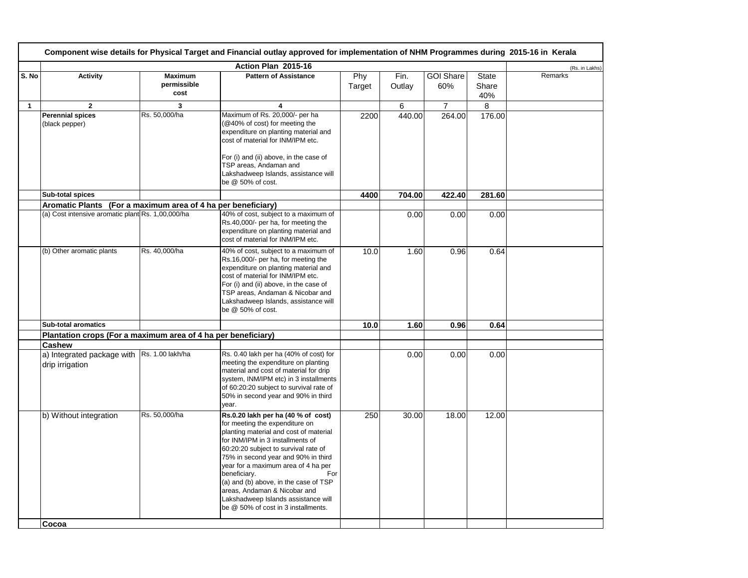|       | Component wise details for Physical Target and Financial outlay approved for implementation of NHM Programmes during 2015-16 in Kerala |                                       |                                                                                                                                                                                                                                                                                                                                                                                                                                                        |               |                |                         |                              |                |  |
|-------|----------------------------------------------------------------------------------------------------------------------------------------|---------------------------------------|--------------------------------------------------------------------------------------------------------------------------------------------------------------------------------------------------------------------------------------------------------------------------------------------------------------------------------------------------------------------------------------------------------------------------------------------------------|---------------|----------------|-------------------------|------------------------------|----------------|--|
|       |                                                                                                                                        |                                       | Action Plan 2015-16                                                                                                                                                                                                                                                                                                                                                                                                                                    |               |                |                         |                              | (Rs. in Lakhs) |  |
| S. No | <b>Activity</b>                                                                                                                        | <b>Maximum</b><br>permissible<br>cost | <b>Pattern of Assistance</b>                                                                                                                                                                                                                                                                                                                                                                                                                           | Phy<br>Target | Fin.<br>Outlay | <b>GOI Share</b><br>60% | <b>State</b><br>Share<br>40% | Remarks        |  |
| 1     | $\overline{2}$                                                                                                                         | 3                                     | 4                                                                                                                                                                                                                                                                                                                                                                                                                                                      |               | 6              | $\overline{7}$          | 8                            |                |  |
|       | <b>Perennial spices</b><br>(black pepper)                                                                                              | Rs. 50,000/ha                         | Maximum of Rs. 20,000/- per ha<br>(@40% of cost) for meeting the<br>expenditure on planting material and<br>cost of material for INM/IPM etc.<br>For (i) and (ii) above, in the case of                                                                                                                                                                                                                                                                | 2200          | 440.00         | 264.00                  | 176.00                       |                |  |
|       |                                                                                                                                        |                                       | TSP areas, Andaman and<br>Lakshadweep Islands, assistance will<br>be @ 50% of cost.                                                                                                                                                                                                                                                                                                                                                                    |               |                |                         |                              |                |  |
|       | <b>Sub-total spices</b>                                                                                                                |                                       |                                                                                                                                                                                                                                                                                                                                                                                                                                                        | 4400          | 704.00         | 422.40                  | 281.60                       |                |  |
|       | Aromatic Plants (For a maximum area of 4 ha per beneficiary)                                                                           |                                       |                                                                                                                                                                                                                                                                                                                                                                                                                                                        |               |                |                         |                              |                |  |
|       | (a) Cost intensive aromatic plant Rs. 1,00,000/ha                                                                                      |                                       | 40% of cost, subject to a maximum of<br>Rs.40,000/- per ha, for meeting the<br>expenditure on planting material and<br>cost of material for INM/IPM etc.                                                                                                                                                                                                                                                                                               |               | 0.00           | 0.00                    | 0.00                         |                |  |
|       | (b) Other aromatic plants                                                                                                              | Rs. 40,000/ha                         | 40% of cost, subject to a maximum of<br>Rs.16,000/- per ha, for meeting the<br>expenditure on planting material and<br>cost of material for INM/IPM etc.<br>For (i) and (ii) above, in the case of<br>TSP areas, Andaman & Nicobar and<br>Lakshadweep Islands, assistance will<br>be @ 50% of cost.                                                                                                                                                    | 10.0          | 1.60           | 0.96                    | 0.64                         |                |  |
|       | <b>Sub-total aromatics</b>                                                                                                             |                                       |                                                                                                                                                                                                                                                                                                                                                                                                                                                        | 10.0          | 1.60           | 0.96                    | 0.64                         |                |  |
|       | Plantation crops (For a maximum area of 4 ha per beneficiary)                                                                          |                                       |                                                                                                                                                                                                                                                                                                                                                                                                                                                        |               |                |                         |                              |                |  |
|       | <b>Cashew</b>                                                                                                                          |                                       |                                                                                                                                                                                                                                                                                                                                                                                                                                                        |               |                |                         |                              |                |  |
|       | a) Integrated package with Rs. 1.00 lakh/ha<br>drip irrigation                                                                         |                                       | Rs. 0.40 lakh per ha (40% of cost) for<br>meeting the expenditure on planting<br>material and cost of material for drip<br>system, INM/IPM etc) in 3 installments<br>of 60:20:20 subject to survival rate of<br>50% in second year and 90% in third<br>year.                                                                                                                                                                                           |               | 0.00           | 0.00                    | 0.00                         |                |  |
|       | b) Without integration                                                                                                                 | Rs. 50,000/ha                         | Rs.0.20 lakh per ha (40 % of cost)<br>for meeting the expenditure on<br>planting material and cost of material<br>for INM/IPM in 3 installments of<br>60:20:20 subject to survival rate of<br>75% in second year and 90% in third<br>year for a maximum area of 4 ha per<br>beneficiary.<br>For<br>(a) and (b) above, in the case of TSP<br>areas, Andaman & Nicobar and<br>Lakshadweep Islands assistance will<br>be @ 50% of cost in 3 installments. | 250           | 30.00          | 18.00                   | 12.00                        |                |  |
|       | Cocoa                                                                                                                                  |                                       |                                                                                                                                                                                                                                                                                                                                                                                                                                                        |               |                |                         |                              |                |  |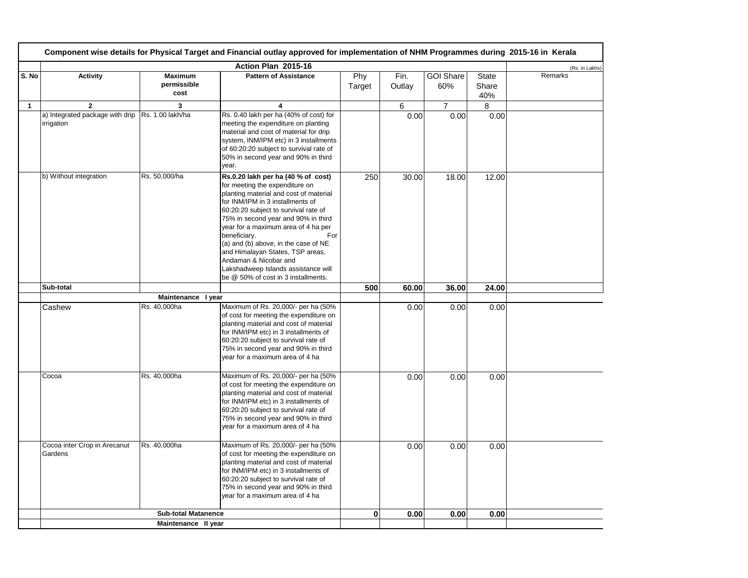|              | Component wise details for Physical Target and Financial outlay approved for implementation of NHM Programmes during 2015-16 in Kerala |                                       |                                                                                                                                                                                                                                                                                                                                                                                                                                                                                    |               |                |                         |                              |                |  |
|--------------|----------------------------------------------------------------------------------------------------------------------------------------|---------------------------------------|------------------------------------------------------------------------------------------------------------------------------------------------------------------------------------------------------------------------------------------------------------------------------------------------------------------------------------------------------------------------------------------------------------------------------------------------------------------------------------|---------------|----------------|-------------------------|------------------------------|----------------|--|
|              |                                                                                                                                        |                                       | Action Plan 2015-16                                                                                                                                                                                                                                                                                                                                                                                                                                                                |               |                |                         |                              | (Rs. in Lakhs) |  |
| S. No        | <b>Activity</b>                                                                                                                        | <b>Maximum</b><br>permissible<br>cost | <b>Pattern of Assistance</b>                                                                                                                                                                                                                                                                                                                                                                                                                                                       | Phy<br>Target | Fin.<br>Outlay | <b>GOI Share</b><br>60% | <b>State</b><br>Share<br>40% | Remarks        |  |
| $\mathbf{1}$ | $\overline{2}$                                                                                                                         | 3                                     | $\overline{4}$                                                                                                                                                                                                                                                                                                                                                                                                                                                                     |               | 6              | $\overline{7}$          | 8                            |                |  |
|              | a) Integrated package with drip<br>irrigation                                                                                          | Rs. 1.00 lakh/ha                      | Rs. 0.40 lakh per ha (40% of cost) for<br>meeting the expenditure on planting<br>material and cost of material for drip<br>system, INM/IPM etc) in 3 installments<br>of 60:20:20 subject to survival rate of<br>50% in second year and 90% in third<br>year.                                                                                                                                                                                                                       |               | 0.00           | 0.00                    | 0.00                         |                |  |
|              | b) Without integration                                                                                                                 | Rs. 50,000/ha                         | Rs.0.20 lakh per ha (40 % of cost)<br>for meeting the expenditure on<br>planting material and cost of material<br>for INM/IPM in 3 installments of<br>60:20:20 subject to survival rate of<br>75% in second year and 90% in third<br>year for a maximum area of 4 ha per<br>beneficiary.<br>For<br>(a) and (b) above, in the case of NE<br>and Himalayan States, TSP areas,<br>Andaman & Nicobar and<br>Lakshadweep Islands assistance will<br>be @ 50% of cost in 3 installments. | 250           | 30.00          | 18.00                   | 12.00                        |                |  |
|              | Sub-total                                                                                                                              |                                       |                                                                                                                                                                                                                                                                                                                                                                                                                                                                                    | 500           | 60.00          | 36.00                   | 24.00                        |                |  |
|              | Cashew                                                                                                                                 | Maintenance I year<br>Rs. 40,000ha    | Maximum of Rs. 20,000/- per ha (50%<br>of cost for meeting the expenditure on<br>planting material and cost of material<br>for INM/IPM etc) in 3 installments of<br>60:20:20 subject to survival rate of<br>75% in second year and 90% in third<br>year for a maximum area of 4 ha                                                                                                                                                                                                 |               | 0.00           | 0.00                    | 0.00                         |                |  |
|              | Cocoa                                                                                                                                  | Rs. 40,000ha                          | Maximum of Rs. 20,000/- per ha (50%<br>of cost for meeting the expenditure on<br>planting material and cost of material<br>for INM/IPM etc) in 3 installments of<br>60:20:20 subject to survival rate of<br>75% in second year and 90% in third<br>year for a maximum area of 4 ha                                                                                                                                                                                                 |               | 0.00           | 0.00                    | 0.00                         |                |  |
|              | Cocoa inter Crop in Arecanut<br>Gardens                                                                                                | Rs. 40,000ha                          | Maximum of Rs. 20,000/- per ha (50%<br>of cost for meeting the expenditure on<br>planting material and cost of material<br>for INM/IPM etc) in 3 installments of<br>60:20:20 subject to survival rate of<br>75% in second year and 90% in third<br>year for a maximum area of 4 ha                                                                                                                                                                                                 |               | 0.00           | 0.00                    | 0.00                         |                |  |
|              |                                                                                                                                        | <b>Sub-total Matanence</b>            |                                                                                                                                                                                                                                                                                                                                                                                                                                                                                    | $\mathbf{0}$  | 0.00           | 0.00                    | 0.00                         |                |  |
|              |                                                                                                                                        | Maintenance II year                   |                                                                                                                                                                                                                                                                                                                                                                                                                                                                                    |               |                |                         |                              |                |  |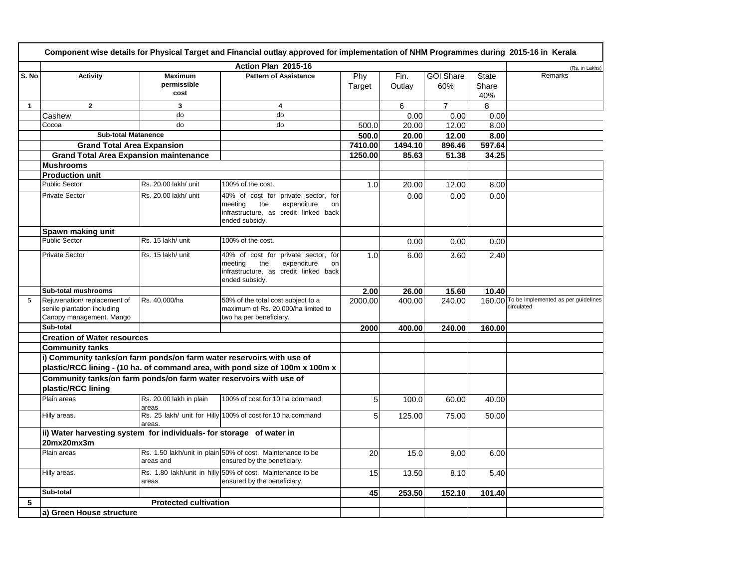|              | Component wise details for Physical Target and Financial outlay approved for implementation of NHM Programmes during 2015-16 in Kerala |                                  |                                                                                                                                          |               |                |                         |                       |                                                          |  |
|--------------|----------------------------------------------------------------------------------------------------------------------------------------|----------------------------------|------------------------------------------------------------------------------------------------------------------------------------------|---------------|----------------|-------------------------|-----------------------|----------------------------------------------------------|--|
|              |                                                                                                                                        |                                  | Action Plan 2015-16                                                                                                                      |               |                |                         |                       | (Rs. in Lakhs)                                           |  |
| S. No        | <b>Activity</b>                                                                                                                        | <b>Maximum</b><br>permissible    | <b>Pattern of Assistance</b>                                                                                                             | Phy<br>Target | Fin.<br>Outlay | <b>GOI Share</b><br>60% | <b>State</b><br>Share | Remarks                                                  |  |
|              |                                                                                                                                        | cost                             |                                                                                                                                          |               |                |                         | 40%                   |                                                          |  |
| $\mathbf{1}$ | $\overline{2}$                                                                                                                         | 3                                | 4                                                                                                                                        |               | 6              | $\overline{7}$          | 8                     |                                                          |  |
|              | Cashew                                                                                                                                 | do                               | do                                                                                                                                       |               | 0.00           | 0.00                    | 0.00                  |                                                          |  |
|              | Cocoa                                                                                                                                  | do                               | do                                                                                                                                       | 500.0         | 20.00          | 12.00                   | 8.00                  |                                                          |  |
|              | <b>Sub-total Matanence</b>                                                                                                             |                                  |                                                                                                                                          | 500.0         | 20.00          | 12.00                   | 8.00                  |                                                          |  |
|              | <b>Grand Total Area Expansion</b>                                                                                                      |                                  |                                                                                                                                          | 7410.00       | 1494.10        | 896.46                  | 597.64                |                                                          |  |
|              | <b>Grand Total Area Expansion maintenance</b>                                                                                          |                                  |                                                                                                                                          | 1250.00       | 85.63          | 51.38                   | 34.25                 |                                                          |  |
|              | <b>Mushrooms</b>                                                                                                                       |                                  |                                                                                                                                          |               |                |                         |                       |                                                          |  |
|              | <b>Production unit</b>                                                                                                                 |                                  |                                                                                                                                          |               |                |                         |                       |                                                          |  |
|              | <b>Public Sector</b>                                                                                                                   | Rs. 20.00 lakh/ unit             | 100% of the cost.                                                                                                                        | 1.0           | 20.00          | 12.00                   | 8.00                  |                                                          |  |
|              | <b>Private Sector</b>                                                                                                                  | Rs. 20.00 lakh/ unit             | 40% of cost for private sector, for<br>meeting<br>the<br>expenditure<br>on<br>infrastructure, as credit linked back<br>ended subsidy.    |               | 0.00           | 0.00                    | 0.00                  |                                                          |  |
|              | Spawn making unit                                                                                                                      |                                  |                                                                                                                                          |               |                |                         |                       |                                                          |  |
|              | <b>Public Sector</b>                                                                                                                   | Rs. 15 lakh/ unit                | 100% of the cost.                                                                                                                        |               | 0.00           | 0.00                    | 0.00                  |                                                          |  |
|              | <b>Private Sector</b>                                                                                                                  | Rs. 15 lakh/ unit                | 40% of cost for<br>private sector, for<br>the<br>meeting<br>expenditure<br>on<br>infrastructure, as credit linked back<br>ended subsidy. | 1.0           | 6.00           | 3.60                    | 2.40                  |                                                          |  |
|              | Sub-total mushrooms                                                                                                                    |                                  |                                                                                                                                          | 2.00          | 26.00          | 15.60                   | 10.40                 |                                                          |  |
| 5            | Rejuvenation/replacement of<br>senile plantation including<br>Canopy management. Mango                                                 | Rs. 40,000/ha                    | 50% of the total cost subject to a<br>maximum of Rs. 20,000/ha limited to<br>two ha per beneficiary.                                     | 2000.00       | 400.00         | 240.00                  |                       | 160.00 To be implemented as per guidelines<br>circulated |  |
|              | Sub-total                                                                                                                              |                                  |                                                                                                                                          | 2000          | 400.00         | 240.00                  | 160.00                |                                                          |  |
|              | <b>Creation of Water resources</b>                                                                                                     |                                  |                                                                                                                                          |               |                |                         |                       |                                                          |  |
|              | <b>Community tanks</b>                                                                                                                 |                                  |                                                                                                                                          |               |                |                         |                       |                                                          |  |
|              | i) Community tanks/on farm ponds/on farm water reservoirs with use of                                                                  |                                  |                                                                                                                                          |               |                |                         |                       |                                                          |  |
|              |                                                                                                                                        |                                  | plastic/RCC lining - (10 ha. of command area, with pond size of 100m x 100m x                                                            |               |                |                         |                       |                                                          |  |
|              | Community tanks/on farm ponds/on farm water reservoirs with use of<br>plastic/RCC lining                                               |                                  |                                                                                                                                          |               |                |                         |                       |                                                          |  |
|              | Plain areas                                                                                                                            | Rs. 20.00 lakh in plain<br>areas | 100% of cost for 10 ha command                                                                                                           | 5             | 100.0          | 60.00                   | 40.00                 |                                                          |  |
|              | Hilly areas.                                                                                                                           | areas.                           | Rs. 25 lakh/ unit for Hilly 100% of cost for 10 ha command                                                                               | 5             | 125.00         | 75.00                   | 50.00                 |                                                          |  |
|              | ii) Water harvesting system for individuals- for storage of water in                                                                   |                                  |                                                                                                                                          |               |                |                         |                       |                                                          |  |
|              | 20mx20mx3m                                                                                                                             |                                  |                                                                                                                                          |               |                |                         |                       |                                                          |  |
|              | Plain areas                                                                                                                            | areas and                        | Rs. 1.50 lakh/unit in plain 50% of cost. Maintenance to be<br>ensured by the beneficiary.                                                | 20            | 15.0           | 9.00                    | 6.00                  |                                                          |  |
|              | Hilly areas.                                                                                                                           | areas                            | Rs. 1.80 lakh/unit in hilly 50% of cost. Maintenance to be<br>ensured by the beneficiary.                                                | 15            | 13.50          | 8.10                    | 5.40                  |                                                          |  |
|              | Sub-total                                                                                                                              |                                  |                                                                                                                                          | 45            | 253.50         | 152.10                  | 101.40                |                                                          |  |
| 5            |                                                                                                                                        | <b>Protected cultivation</b>     |                                                                                                                                          |               |                |                         |                       |                                                          |  |
|              | a) Green House structure                                                                                                               |                                  |                                                                                                                                          |               |                |                         |                       |                                                          |  |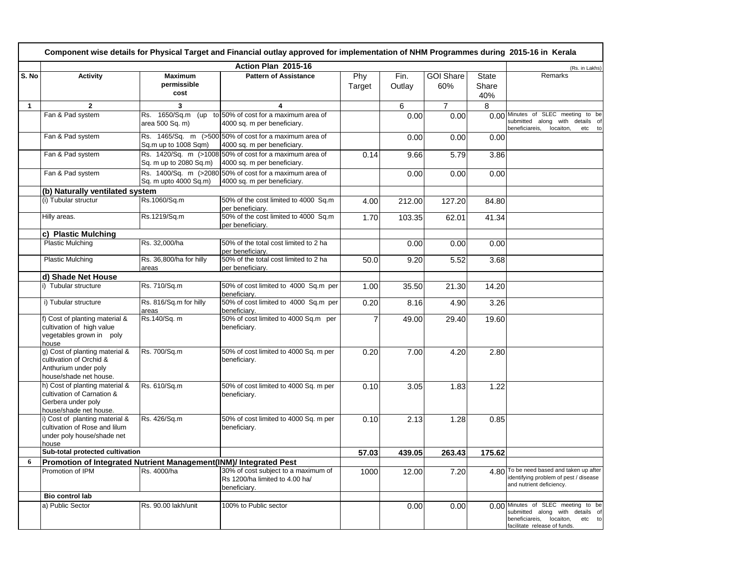| Component wise details for Physical Target and Financial outlay approved for implementation of NHM Programmes during 2015-16 in Kerala |                                                                                                              |                                       |                                                                                        |                |                |                         |                              |                                                                                                                                             |
|----------------------------------------------------------------------------------------------------------------------------------------|--------------------------------------------------------------------------------------------------------------|---------------------------------------|----------------------------------------------------------------------------------------|----------------|----------------|-------------------------|------------------------------|---------------------------------------------------------------------------------------------------------------------------------------------|
|                                                                                                                                        |                                                                                                              |                                       | Action Plan 2015-16                                                                    |                |                |                         |                              | (Rs. in Lakhs)                                                                                                                              |
| S. No                                                                                                                                  | <b>Activity</b>                                                                                              | <b>Maximum</b><br>permissible<br>cost | <b>Pattern of Assistance</b>                                                           | Phy<br>Target  | Fin.<br>Outlay | <b>GOI Share</b><br>60% | <b>State</b><br>Share<br>40% | Remarks                                                                                                                                     |
| $\mathbf{1}$                                                                                                                           | $\mathbf{2}$                                                                                                 | 3                                     | 4                                                                                      |                | 6              | $\overline{7}$          | 8                            |                                                                                                                                             |
|                                                                                                                                        | Fan & Pad system                                                                                             | area 500 Sq. m)                       | Rs. 1650/Sq.m (up to 50% of cost for a maximum area of<br>4000 sq. m per beneficiary.  |                | 0.00           | 0.00                    |                              | 0.00 Minutes of SLEC meeting to be<br>submitted along with details of<br>beneficiareis,<br>locaiton,<br>etc to                              |
|                                                                                                                                        | Fan & Pad system                                                                                             | Sq.m up to 1008 Sqm)                  | Rs. 1465/Sq. m (>500 50% of cost for a maximum area of<br>4000 sq. m per beneficiary.  |                | 0.00           | 0.00                    | 0.00                         |                                                                                                                                             |
|                                                                                                                                        | Fan & Pad system                                                                                             | Sq. m up to 2080 Sq.m)                | Rs. 1420/Sq. m (>1008 50% of cost for a maximum area of<br>4000 sq. m per beneficiary. | 0.14           | 9.66           | 5.79                    | 3.86                         |                                                                                                                                             |
|                                                                                                                                        | Fan & Pad system                                                                                             | Sq. m upto 4000 Sq.m)                 | Rs. 1400/Sq. m (>2080 50% of cost for a maximum area of<br>4000 sq. m per beneficiary. |                | 0.00           | 0.00                    | 0.00                         |                                                                                                                                             |
|                                                                                                                                        | (b) Naturally ventilated system                                                                              |                                       |                                                                                        |                |                |                         |                              |                                                                                                                                             |
|                                                                                                                                        | (i) Tubular structur                                                                                         | Rs.1060/Sq.m                          | 50% of the cost limited to 4000 Sq.m<br>per beneficiary.                               | 4.00           | 212.00         | 127.20                  | 84.80                        |                                                                                                                                             |
|                                                                                                                                        | Hilly areas.                                                                                                 | Rs.1219/Sq.m                          | 50% of the cost limited to 4000 Sq.m<br>per beneficiary.                               | 1.70           | 103.35         | 62.01                   | 41.34                        |                                                                                                                                             |
|                                                                                                                                        | c) Plastic Mulching                                                                                          |                                       |                                                                                        |                |                |                         |                              |                                                                                                                                             |
|                                                                                                                                        | <b>Plastic Mulching</b>                                                                                      | Rs. 32,000/ha                         | 50% of the total cost limited to 2 ha<br>per beneficiary.                              |                | 0.00           | 0.00                    | 0.00                         |                                                                                                                                             |
|                                                                                                                                        | Plastic Mulching                                                                                             | Rs. 36,800/ha for hilly<br>areas      | 50% of the total cost limited to 2 ha<br>per beneficiary.                              | 50.0           | 9.20           | 5.52                    | 3.68                         |                                                                                                                                             |
|                                                                                                                                        | d) Shade Net House                                                                                           |                                       |                                                                                        |                |                |                         |                              |                                                                                                                                             |
|                                                                                                                                        | i) Tubular structure                                                                                         | Rs. 710/Sq.m                          | 50% of cost limited to 4000 Sq.m per<br>beneficiary.                                   | 1.00           | 35.50          | 21.30                   | 14.20                        |                                                                                                                                             |
|                                                                                                                                        | i) Tubular structure                                                                                         | Rs. 816/Sq.m for hilly<br>areas       | 50% of cost limited to 4000 Sq.m per<br>beneficiary.                                   | 0.20           | 8.16           | 4.90                    | 3.26                         |                                                                                                                                             |
|                                                                                                                                        | f) Cost of planting material &<br>cultivation of high value<br>vegetables grown in poly<br>house             | Rs.140/Sq. m                          | 50% of cost limited to 4000 Sq.m per<br>beneficiary.                                   | $\overline{7}$ | 49.00          | 29.40                   | 19.60                        |                                                                                                                                             |
|                                                                                                                                        | g) Cost of planting material &<br>cultivation of Orchid &<br>Anthurium under poly<br>house/shade net house.  | Rs. 700/Sq.m                          | 50% of cost limited to 4000 Sq. m per<br>beneficiary.                                  | 0.20           | 7.00           | 4.20                    | 2.80                         |                                                                                                                                             |
|                                                                                                                                        | h) Cost of planting material &<br>cultivation of Carnation &<br>Gerbera under poly<br>house/shade net house. | Rs. 610/Sq.m                          | 50% of cost limited to 4000 Sq. m per<br>beneficiary.                                  | 0.10           | 3.05           | 1.83                    | 1.22                         |                                                                                                                                             |
|                                                                                                                                        | i) Cost of planting material &<br>cultivation of Rose and lilum<br>under poly house/shade net<br>house       | Rs. 426/Sq.m                          | 50% of cost limited to 4000 Sq. m per<br>beneficiary.                                  | 0.10           | 2.13           | 1.28                    | 0.85                         |                                                                                                                                             |
|                                                                                                                                        | Sub-total protected cultivation                                                                              |                                       |                                                                                        | 57.03          | 439.05         | 263.43                  | 175.62                       |                                                                                                                                             |
| 6                                                                                                                                      | Promotion of Integrated Nutrient Management(INM)/ Integrated Pest                                            |                                       |                                                                                        |                |                |                         |                              |                                                                                                                                             |
|                                                                                                                                        | Promotion of IPM                                                                                             | Rs. 4000/ha                           | 30% of cost subject to a maximum of<br>Rs 1200/ha limited to 4.00 ha/<br>beneficiary.  | 1000           | 12.00          | 7.20                    |                              | 4.80 To be need based and taken up after<br>identifying problem of pest / disease<br>and nutrient deficiency.                               |
|                                                                                                                                        | Bio control lab                                                                                              |                                       |                                                                                        |                |                |                         |                              |                                                                                                                                             |
|                                                                                                                                        | a) Public Sector                                                                                             | Rs. 90.00 lakh/unit                   | 100% to Public sector                                                                  |                | 0.00           | 0.00                    |                              | 0.00 Minutes of SLEC meeting to be<br>submitted along with details of<br>beneficiareis, locaiton,<br>etc to<br>facilitate release of funds. |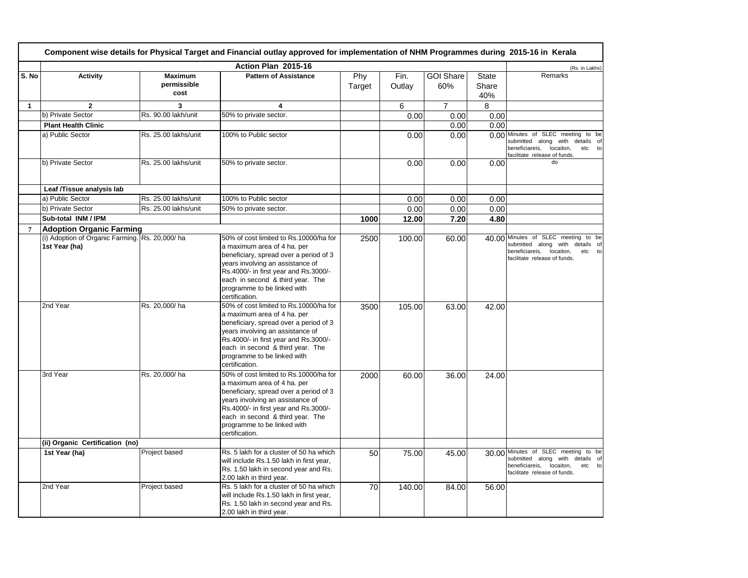|                | Component wise details for Physical Target and Financial outlay approved for implementation of NHM Programmes during 2015-16 in Kerala |                                       |                                                                                                                                                                                                                                                                                   |               |                |                         |                              |                                                                                                                                                 |
|----------------|----------------------------------------------------------------------------------------------------------------------------------------|---------------------------------------|-----------------------------------------------------------------------------------------------------------------------------------------------------------------------------------------------------------------------------------------------------------------------------------|---------------|----------------|-------------------------|------------------------------|-------------------------------------------------------------------------------------------------------------------------------------------------|
|                |                                                                                                                                        |                                       | Action Plan 2015-16                                                                                                                                                                                                                                                               |               |                |                         |                              | (Rs. in Lakhs)                                                                                                                                  |
| S. No          | <b>Activity</b>                                                                                                                        | <b>Maximum</b><br>permissible<br>cost | <b>Pattern of Assistance</b>                                                                                                                                                                                                                                                      | Phy<br>Target | Fin.<br>Outlay | <b>GOI Share</b><br>60% | <b>State</b><br>Share<br>40% | Remarks                                                                                                                                         |
| $\mathbf{1}$   | $\mathbf{2}$                                                                                                                           | 3                                     | 4                                                                                                                                                                                                                                                                                 |               | 6              | $\overline{7}$          | 8                            |                                                                                                                                                 |
|                | b) Private Sector                                                                                                                      | Rs. 90.00 lakh/unit                   | 50% to private sector.                                                                                                                                                                                                                                                            |               | 0.00           | 0.00                    | 0.00                         |                                                                                                                                                 |
|                | <b>Plant Health Clinic</b>                                                                                                             |                                       |                                                                                                                                                                                                                                                                                   |               |                | 0.00                    | 0.00                         |                                                                                                                                                 |
|                | a) Public Sector                                                                                                                       | Rs. 25.00 lakhs/unit                  | 100% to Public sector                                                                                                                                                                                                                                                             |               | 0.00           | 0.00                    | 0.00                         | Minutes of SLEC meeting to be<br>submitted along with details of<br>beneficiareis, locaiton,<br>etc to<br>facilitate release of funds.          |
|                | b) Private Sector                                                                                                                      | Rs. 25.00 lakhs/unit                  | 50% to private sector.                                                                                                                                                                                                                                                            |               | 0.00           | 0.00                    | 0.00                         | do                                                                                                                                              |
|                | Leaf /Tissue analysis lab                                                                                                              |                                       |                                                                                                                                                                                                                                                                                   |               |                |                         |                              |                                                                                                                                                 |
|                | a) Public Sector                                                                                                                       | Rs. 25.00 lakhs/unit                  | 100% to Public sector                                                                                                                                                                                                                                                             |               | 0.00           | 0.00                    | 0.00                         |                                                                                                                                                 |
|                | b) Private Sector                                                                                                                      | Rs. 25.00 lakhs/unit                  | 50% to private sector.                                                                                                                                                                                                                                                            |               | 0.00           | 0.00                    | 0.00                         |                                                                                                                                                 |
|                | Sub-total INM / IPM                                                                                                                    |                                       |                                                                                                                                                                                                                                                                                   | 1000          | 12.00          | 7.20                    | 4.80                         |                                                                                                                                                 |
| $\overline{7}$ | <b>Adoption Organic Farming</b>                                                                                                        |                                       |                                                                                                                                                                                                                                                                                   |               |                |                         |                              |                                                                                                                                                 |
|                | (i) Adoption of Organic Farming. Rs. 20,000/ha<br>1st Year (ha)                                                                        |                                       | 50% of cost limited to Rs.10000/ha for<br>a maximum area of 4 ha. per<br>beneficiary, spread over a period of 3<br>years involving an assistance of<br>Rs.4000/- in first year and Rs.3000/-<br>each in second & third year. The<br>programme to be linked with<br>certification. | 2500          | 100.00         | 60.00                   | 40.00                        | Minutes of SLEC meeting to be<br>submitted along with details of<br>beneficiareis, locaiton,<br>etc to<br>facilitate release of funds.          |
|                | 2nd Year                                                                                                                               | Rs. 20,000/ha                         | 50% of cost limited to Rs.10000/ha for<br>a maximum area of 4 ha. per<br>beneficiary, spread over a period of 3<br>years involving an assistance of<br>Rs.4000/- in first year and Rs.3000/-<br>each in second & third year. The<br>programme to be linked with<br>certification. | 3500          | 105.00         | 63.00                   | 42.00                        |                                                                                                                                                 |
|                | 3rd Year                                                                                                                               | Rs. 20,000/ha                         | 50% of cost limited to Rs.10000/ha for<br>a maximum area of 4 ha. per<br>beneficiary, spread over a period of 3<br>years involving an assistance of<br>Rs.4000/- in first year and Rs.3000/-<br>each in second & third year. The<br>programme to be linked with<br>certification. | 2000          | 60.00          | 36.00                   | 24.00                        |                                                                                                                                                 |
|                | (ii) Organic Certification (no)                                                                                                        |                                       |                                                                                                                                                                                                                                                                                   |               |                |                         |                              |                                                                                                                                                 |
|                | 1st Year (ha)                                                                                                                          | Project based                         | Rs. 5 lakh for a cluster of 50 ha which<br>will include Rs.1.50 lakh in first year,<br>Rs. 1.50 lakh in second year and Rs.<br>2.00 lakh in third year.                                                                                                                           | 50            | 75.00          | 45.00                   |                              | 30.00 Minutes of SLEC meeting to be<br>submitted along with details of<br>beneficiareis,<br>locaiton,<br>etc to<br>facilitate release of funds. |
|                | 2nd Year                                                                                                                               | Project based                         | Rs. 5 lakh for a cluster of 50 ha which<br>will include Rs.1.50 lakh in first year,<br>Rs. 1.50 lakh in second year and Rs.<br>2.00 lakh in third year.                                                                                                                           | 70            | 140.00         | 84.00                   | 56.00                        |                                                                                                                                                 |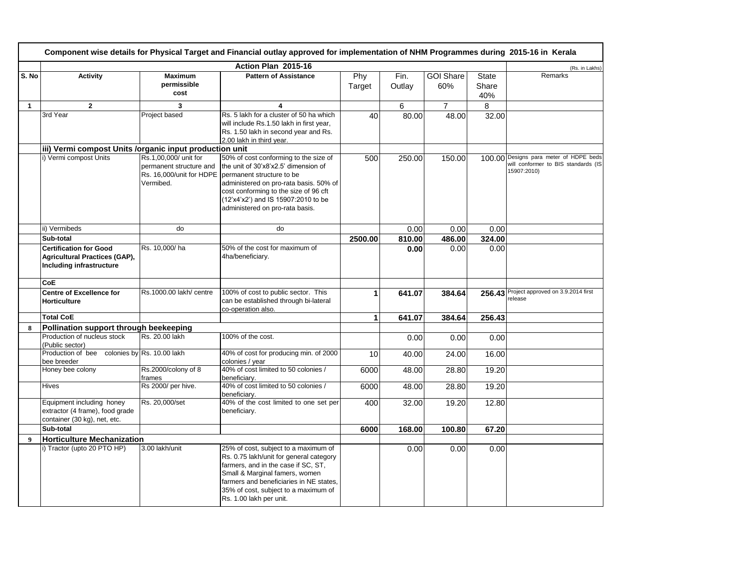|                  | Component wise details for Physical Target and Financial outlay approved for implementation of NHM Programmes during 2015-16 in Kerala |                                                               |                                                                                                                                                                                                                                                                                                    |               |                |                         |                              |                                                                                       |  |
|------------------|----------------------------------------------------------------------------------------------------------------------------------------|---------------------------------------------------------------|----------------------------------------------------------------------------------------------------------------------------------------------------------------------------------------------------------------------------------------------------------------------------------------------------|---------------|----------------|-------------------------|------------------------------|---------------------------------------------------------------------------------------|--|
|                  |                                                                                                                                        |                                                               | Action Plan 2015-16                                                                                                                                                                                                                                                                                |               |                |                         |                              | (Rs. in Lakhs)                                                                        |  |
| S. No            | <b>Activity</b>                                                                                                                        | <b>Maximum</b><br>permissible<br>cost                         | <b>Pattern of Assistance</b>                                                                                                                                                                                                                                                                       | Phy<br>Target | Fin.<br>Outlay | <b>GOI Share</b><br>60% | <b>State</b><br>Share<br>40% | Remarks                                                                               |  |
| $\mathbf{1}$     | $\overline{2}$                                                                                                                         | 3                                                             | 4                                                                                                                                                                                                                                                                                                  |               | 6              | $\overline{7}$          | 8                            |                                                                                       |  |
|                  | 3rd Year                                                                                                                               | Project based                                                 | Rs. 5 lakh for a cluster of 50 ha which<br>will include Rs.1.50 lakh in first year,<br>Rs. 1.50 lakh in second year and Rs.<br>2.00 lakh in third year.                                                                                                                                            | 40            | 80.00          | 48.00                   | 32.00                        |                                                                                       |  |
|                  | iii) Vermi compost Units /organic input production unit                                                                                |                                                               |                                                                                                                                                                                                                                                                                                    |               |                |                         |                              |                                                                                       |  |
|                  | i) Vermi compost Units                                                                                                                 | Rs.1,00,000/ unit for<br>permanent structure and<br>Vermibed. | 50% of cost conforming to the size of<br>the unit of 30'x8'x2.5' dimension of<br>Rs. 16,000/unit for HDPE   permanent structure to be<br>administered on pro-rata basis. 50% of<br>cost conforming to the size of 96 cft<br>(12'x4'x2') and IS 15907:2010 to be<br>administered on pro-rata basis. | 500           | 250.00         | 150.00                  | 100.00                       | Designs para meter of HDPE beds<br>will conformer to BIS standards (IS<br>15907:2010) |  |
|                  | ii) Vermibeds                                                                                                                          | do                                                            | do                                                                                                                                                                                                                                                                                                 |               | 0.00           | 0.00                    | 0.00                         |                                                                                       |  |
|                  | Sub-total                                                                                                                              |                                                               |                                                                                                                                                                                                                                                                                                    | 2500.00       | 810.00         | 486.00                  | 324.00                       |                                                                                       |  |
|                  | <b>Certification for Good</b><br><b>Agricultural Practices (GAP),</b><br>Including infrastructure                                      | Rs. 10,000/ha                                                 | 50% of the cost for maximum of<br>4ha/beneficiary.                                                                                                                                                                                                                                                 |               | 0.00           | 0.00                    | 0.00                         |                                                                                       |  |
|                  | CoE                                                                                                                                    |                                                               |                                                                                                                                                                                                                                                                                                    |               |                |                         |                              |                                                                                       |  |
|                  | <b>Centre of Excellence for</b><br><b>Horticulture</b>                                                                                 | Rs.1000.00 lakh/ centre                                       | 100% of cost to public sector. This<br>can be established through bi-lateral<br>co-operation also.                                                                                                                                                                                                 | 1             | 641.07         | 384.64                  | 256.43                       | Project approved on 3.9.2014 first<br>release                                         |  |
|                  | <b>Total CoE</b>                                                                                                                       |                                                               |                                                                                                                                                                                                                                                                                                    | 1             | 641.07         | 384.64                  | 256.43                       |                                                                                       |  |
| 8                | Pollination support through beekeeping                                                                                                 |                                                               |                                                                                                                                                                                                                                                                                                    |               |                |                         |                              |                                                                                       |  |
|                  | Production of nucleus stock<br>(Public sector)                                                                                         | Rs. 20.00 lakh                                                | 100% of the cost.                                                                                                                                                                                                                                                                                  |               | 0.00           | 0.00                    | 0.00                         |                                                                                       |  |
|                  | Production of bee colonies by Rs. 10.00 lakh<br>bee breeder                                                                            |                                                               | 40% of cost for producing min. of 2000<br>colonies / vear                                                                                                                                                                                                                                          | 10            | 40.00          | 24.00                   | 16.00                        |                                                                                       |  |
|                  | Honey bee colony                                                                                                                       | Rs.2000/colony of 8<br>frames                                 | 40% of cost limited to 50 colonies /<br>beneficiary.                                                                                                                                                                                                                                               | 6000          | 48.00          | 28.80                   | 19.20                        |                                                                                       |  |
|                  | <b>Hives</b>                                                                                                                           | Rs 2000/ per hive.                                            | 40% of cost limited to 50 colonies /<br>beneficiary.                                                                                                                                                                                                                                               | 6000          | 48.00          | 28.80                   | 19.20                        |                                                                                       |  |
|                  | Equipment including honey<br>extractor (4 frame), food grade<br>container (30 kg), net, etc.                                           | Rs. 20,000/set                                                | 40% of the cost limited to one set per<br>beneficiary.                                                                                                                                                                                                                                             | 400           | 32.00          | 19.20                   | 12.80                        |                                                                                       |  |
|                  | Sub-total                                                                                                                              |                                                               |                                                                                                                                                                                                                                                                                                    | 6000          | 168.00         | 100.80                  | 67.20                        |                                                                                       |  |
| $\boldsymbol{9}$ | <b>Horticulture Mechanization</b>                                                                                                      |                                                               |                                                                                                                                                                                                                                                                                                    |               |                |                         |                              |                                                                                       |  |
|                  | i) Tractor (upto 20 PTO HP)                                                                                                            | 3.00 lakh/unit                                                | 25% of cost, subject to a maximum of<br>Rs. 0.75 lakh/unit for general category<br>farmers, and in the case if SC, ST,<br>Small & Marginal famers, women<br>farmers and beneficiaries in NE states,<br>35% of cost, subject to a maximum of<br>Rs. 1.00 lakh per unit.                             |               | 0.00           | 0.00                    | 0.00                         |                                                                                       |  |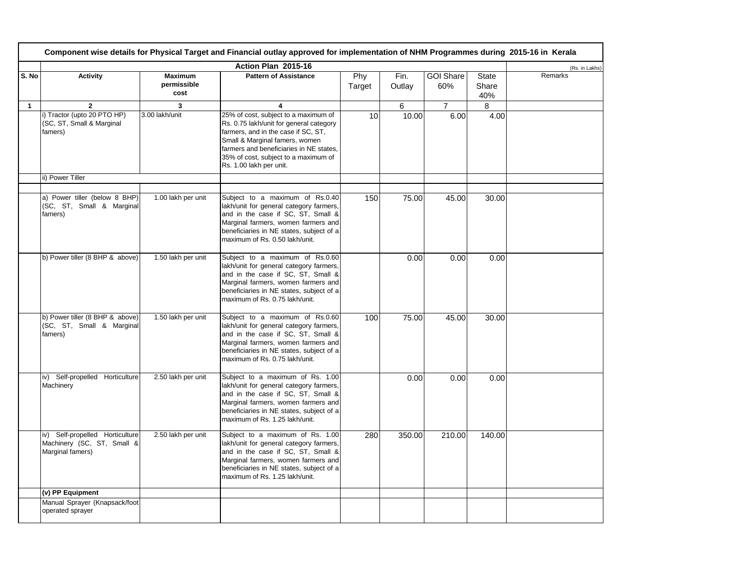|              | Component wise details for Physical Target and Financial outlay approved for implementation of NHM Programmes during 2015-16 in Kerala |                                       |                                                                                                                                                                                                                                                                        |               |                |                         |                              |                |  |
|--------------|----------------------------------------------------------------------------------------------------------------------------------------|---------------------------------------|------------------------------------------------------------------------------------------------------------------------------------------------------------------------------------------------------------------------------------------------------------------------|---------------|----------------|-------------------------|------------------------------|----------------|--|
|              |                                                                                                                                        |                                       | Action Plan 2015-16                                                                                                                                                                                                                                                    |               |                |                         |                              | (Rs. in Lakhs) |  |
| S. No        | <b>Activity</b>                                                                                                                        | <b>Maximum</b><br>permissible<br>cost | <b>Pattern of Assistance</b>                                                                                                                                                                                                                                           | Phy<br>Target | Fin.<br>Outlay | <b>GOI Share</b><br>60% | <b>State</b><br>Share<br>40% | Remarks        |  |
| $\mathbf{1}$ | $\mathbf{2}$                                                                                                                           | 3                                     | 4                                                                                                                                                                                                                                                                      |               | 6              | $\overline{7}$          | 8                            |                |  |
|              | i) Tractor (upto 20 PTO HP)<br>(SC, ST, Small & Marginal<br>famers)                                                                    | 3.00 lakh/unit                        | 25% of cost, subject to a maximum of<br>Rs. 0.75 lakh/unit for general category<br>farmers, and in the case if SC, ST,<br>Small & Marginal famers, women<br>farmers and beneficiaries in NE states,<br>35% of cost, subject to a maximum of<br>Rs. 1.00 lakh per unit. | 10            | 10.00          | 6.00                    | 4.00                         |                |  |
|              | ii) Power Tiller                                                                                                                       |                                       |                                                                                                                                                                                                                                                                        |               |                |                         |                              |                |  |
|              | a) Power tiller (below 8 BHP)<br>(SC, ST, Small & Marginal<br>famers)                                                                  | 1.00 lakh per unit                    | Subject to a maximum of Rs.0.40<br>lakh/unit for general category farmers,<br>and in the case if SC, ST, Small &<br>Marginal farmers, women farmers and<br>beneficiaries in NE states, subject of a<br>maximum of Rs. 0.50 lakh/unit.                                  | 150           | 75.00          | 45.00                   | 30.00                        |                |  |
|              | b) Power tiller (8 BHP & above)                                                                                                        | 1.50 lakh per unit                    | Subject to a maximum of Rs.0.60<br>lakh/unit for general category farmers,<br>and in the case if SC, ST, Small &<br>Marginal farmers, women farmers and<br>beneficiaries in NE states, subject of a<br>maximum of Rs. 0.75 lakh/unit.                                  |               | 0.00           | 0.00                    | 0.00                         |                |  |
|              | b) Power tiller (8 BHP & above)<br>(SC, ST, Small & Marginal<br>famers)                                                                | 1.50 lakh per unit                    | Subject to a maximum of Rs.0.60<br>lakh/unit for general category farmers,<br>and in the case if SC, ST, Small &<br>Marginal farmers, women farmers and<br>beneficiaries in NE states, subject of a<br>maximum of Rs. 0.75 lakh/unit.                                  | 100           | 75.00          | 45.00                   | 30.00                        |                |  |
|              | iv) Self-propelled Horticulture<br>Machinery                                                                                           | 2.50 lakh per unit                    | Subject to a maximum of Rs. 1.00<br>lakh/unit for general category farmers,<br>and in the case if SC, ST, Small &<br>Marginal farmers, women farmers and<br>beneficiaries in NE states, subject of a<br>maximum of Rs. 1.25 lakh/unit.                                 |               | 0.00           | 0.00                    | 0.00                         |                |  |
|              | iv) Self-propelled Horticulture<br>Machinery (SC, ST, Small &<br>Marginal famers)                                                      | 2.50 lakh per unit                    | Subject to a maximum of Rs. 1.00<br>lakh/unit for general category farmers,<br>and in the case if SC, ST, Small &<br>Marginal farmers, women farmers and<br>beneficiaries in NE states, subject of a<br>maximum of Rs. 1.25 lakh/unit.                                 | 280           | 350.00         | 210.00                  | 140.00                       |                |  |
|              | (v) PP Equipment                                                                                                                       |                                       |                                                                                                                                                                                                                                                                        |               |                |                         |                              |                |  |
|              | Manual Sprayer (Knapsack/foot<br>operated sprayer                                                                                      |                                       |                                                                                                                                                                                                                                                                        |               |                |                         |                              |                |  |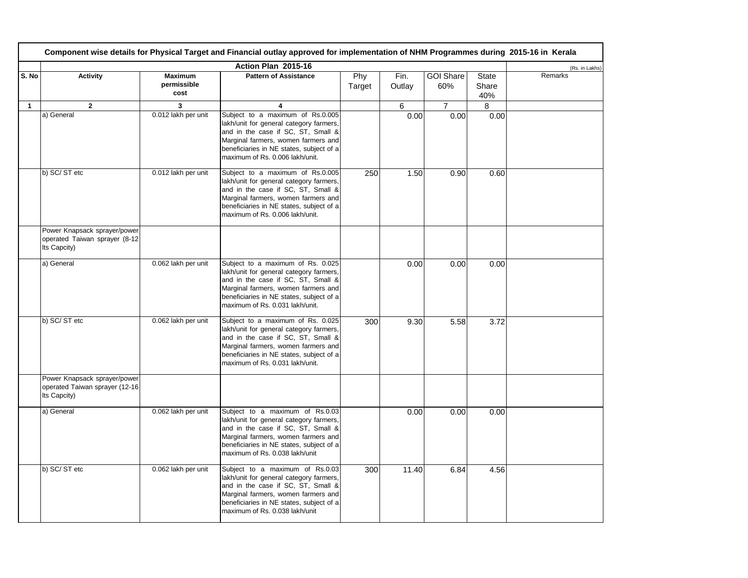|              | Component wise details for Physical Target and Financial outlay approved for implementation of NHM Programmes during 2015-16 in Kerala |                                       |                                                                                                                                                                                                                                          |               |                |                         |                       |         |  |
|--------------|----------------------------------------------------------------------------------------------------------------------------------------|---------------------------------------|------------------------------------------------------------------------------------------------------------------------------------------------------------------------------------------------------------------------------------------|---------------|----------------|-------------------------|-----------------------|---------|--|
|              | Action Plan 2015-16                                                                                                                    |                                       |                                                                                                                                                                                                                                          |               |                |                         |                       |         |  |
| S. No        | <b>Activity</b>                                                                                                                        | <b>Maximum</b><br>permissible<br>cost | <b>Pattern of Assistance</b>                                                                                                                                                                                                             | Phy<br>Target | Fin.<br>Outlay | <b>GOI Share</b><br>60% | State<br>Share<br>40% | Remarks |  |
| $\mathbf{1}$ | $\overline{2}$                                                                                                                         | 3                                     | 4                                                                                                                                                                                                                                        |               | 6              | $\overline{7}$          | 8                     |         |  |
|              | a) General                                                                                                                             | 0.012 lakh per unit                   | Subject to a maximum of Rs.0.005<br>lakh/unit for general category farmers,<br>and in the case if SC, ST, Small &<br>Marginal farmers, women farmers and<br>beneficiaries in NE states, subject of a<br>maximum of Rs. 0.006 lakh/unit.  |               | 0.00           | 0.00                    | 0.00                  |         |  |
|              | b) SC/ST etc                                                                                                                           | 0.012 lakh per unit                   | Subject to a maximum of Rs.0.005<br>lakh/unit for general category farmers,<br>and in the case if SC, ST, Small &<br>Marginal farmers, women farmers and<br>beneficiaries in NE states, subject of a<br>maximum of Rs. 0.006 lakh/unit.  | 250           | 1.50           | 0.90                    | 0.60                  |         |  |
|              | Power Knapsack sprayer/power<br>operated Taiwan sprayer (8-12<br>Its Capcity)                                                          |                                       |                                                                                                                                                                                                                                          |               |                |                         |                       |         |  |
|              | a) General                                                                                                                             | 0.062 lakh per unit                   | Subject to a maximum of Rs. 0.025<br>lakh/unit for general category farmers,<br>and in the case if SC, ST, Small &<br>Marginal farmers, women farmers and<br>beneficiaries in NE states, subject of a<br>maximum of Rs. 0.031 lakh/unit. |               | 0.00           | 0.00                    | 0.00                  |         |  |
|              | b) SC/ST etc                                                                                                                           | 0.062 lakh per unit                   | Subject to a maximum of Rs. 0.025<br>lakh/unit for general category farmers,<br>and in the case if SC, ST, Small &<br>Marginal farmers, women farmers and<br>beneficiaries in NE states, subject of a<br>maximum of Rs. 0.031 lakh/unit. | 300           | 9.30           | 5.58                    | 3.72                  |         |  |
|              | Power Knapsack sprayer/power<br>operated Taiwan sprayer (12-16<br>Its Capcity)                                                         |                                       |                                                                                                                                                                                                                                          |               |                |                         |                       |         |  |
|              | a) General                                                                                                                             | 0.062 lakh per unit                   | Subject to a maximum of Rs.0.03<br>lakh/unit for general category farmers,<br>and in the case if SC, ST, Small &<br>Marginal farmers, women farmers and<br>beneficiaries in NE states, subject of a<br>maximum of Rs. 0.038 lakh/unit    |               | 0.00           | 0.00                    | 0.00                  |         |  |
|              | b) SC/ST etc                                                                                                                           | 0.062 lakh per unit                   | Subject to a maximum of Rs.0.03<br>lakh/unit for general category farmers,<br>and in the case if SC, ST, Small &<br>Marginal farmers, women farmers and<br>beneficiaries in NE states, subject of a<br>maximum of Rs. 0.038 lakh/unit    | 300           | 11.40          | 6.84                    | 4.56                  |         |  |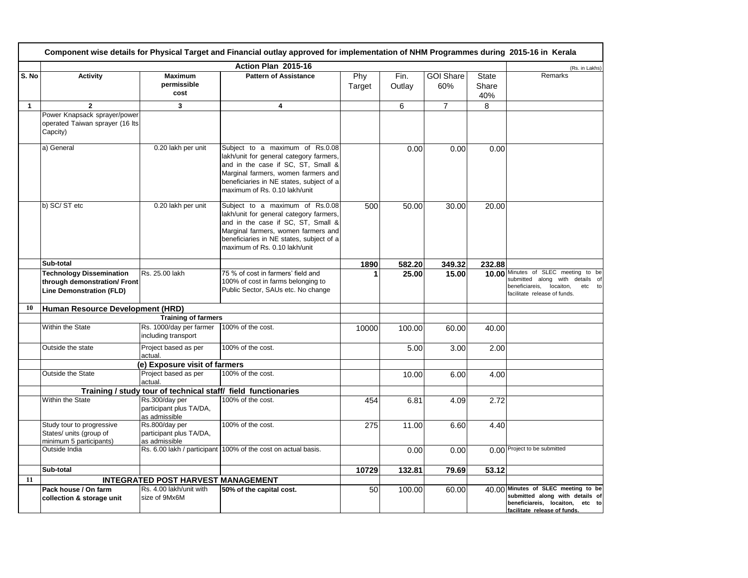|              | Component wise details for Physical Target and Financial outlay approved for implementation of NHM Programmes during 2015-16 in Kerala |                                                            |                                                                                                                                                                                                                                      |               |                |                         |                       |                                                                                                                                              |  |  |
|--------------|----------------------------------------------------------------------------------------------------------------------------------------|------------------------------------------------------------|--------------------------------------------------------------------------------------------------------------------------------------------------------------------------------------------------------------------------------------|---------------|----------------|-------------------------|-----------------------|----------------------------------------------------------------------------------------------------------------------------------------------|--|--|
|              |                                                                                                                                        | (Rs. in Lakhs)                                             |                                                                                                                                                                                                                                      |               |                |                         |                       |                                                                                                                                              |  |  |
| S. No        | <b>Activity</b>                                                                                                                        | <b>Maximum</b><br>permissible<br>cost                      | <b>Pattern of Assistance</b>                                                                                                                                                                                                         | Phy<br>Target | Fin.<br>Outlay | <b>GOI Share</b><br>60% | State<br>Share<br>40% | Remarks                                                                                                                                      |  |  |
| $\mathbf{1}$ | $\overline{2}$                                                                                                                         | 3                                                          | $\overline{4}$                                                                                                                                                                                                                       |               | 6              | $\overline{7}$          | 8                     |                                                                                                                                              |  |  |
|              | Power Knapsack sprayer/power<br>operated Taiwan sprayer (16 lts<br>Capcity)                                                            |                                                            |                                                                                                                                                                                                                                      |               |                |                         |                       |                                                                                                                                              |  |  |
|              | a) General                                                                                                                             | 0.20 lakh per unit                                         | Subject to a maximum of Rs.0.08<br>lakh/unit for general category farmers,<br>and in the case if SC, ST, Small &<br>Marginal farmers, women farmers and<br>beneficiaries in NE states, subject of a<br>maximum of Rs. 0.10 lakh/unit |               | 0.00           | 0.00                    | 0.00                  |                                                                                                                                              |  |  |
|              | b) SC/ST etc                                                                                                                           | 0.20 lakh per unit                                         | Subject to a maximum of Rs.0.08<br>lakh/unit for general category farmers,<br>and in the case if SC, ST, Small &<br>Marginal farmers, women farmers and<br>beneficiaries in NE states, subject of a<br>maximum of Rs. 0.10 lakh/unit | 500           | 50.00          | 30.00                   | 20.00                 |                                                                                                                                              |  |  |
|              | Sub-total                                                                                                                              |                                                            |                                                                                                                                                                                                                                      | 1890          | 582.20         | 349.32                  | 232.88                |                                                                                                                                              |  |  |
|              | <b>Technology Dissemination</b><br>through demonstration/ Front<br><b>Line Demonstration (FLD)</b>                                     | Rs. 25.00 lakh                                             | 75 % of cost in farmers' field and<br>100% of cost in farms belonging to<br>Public Sector, SAUs etc. No change                                                                                                                       | 1             | 25.00          | 15.00                   | 10.00                 | Minutes of SLEC meeting to be<br>submitted along with details of<br>beneficiareis,<br>locaiton,<br>etc<br>to<br>facilitate release of funds. |  |  |
| 10           | Human Resource Development (HRD)                                                                                                       |                                                            |                                                                                                                                                                                                                                      |               |                |                         |                       |                                                                                                                                              |  |  |
|              |                                                                                                                                        | <b>Training of farmers</b>                                 |                                                                                                                                                                                                                                      |               |                |                         |                       |                                                                                                                                              |  |  |
|              | Within the State                                                                                                                       | Rs. 1000/day per farmer<br>including transport             | 100% of the cost.                                                                                                                                                                                                                    | 10000         | 100.00         | 60.00                   | 40.00                 |                                                                                                                                              |  |  |
|              | Outside the state                                                                                                                      | Project based as per<br>actual.                            | 100% of the cost.                                                                                                                                                                                                                    |               | 5.00           | 3.00                    | 2.00                  |                                                                                                                                              |  |  |
|              |                                                                                                                                        | (e) Exposure visit of farmers                              |                                                                                                                                                                                                                                      |               |                |                         |                       |                                                                                                                                              |  |  |
|              | Outside the State                                                                                                                      | Project based as per<br>actual.                            | 100% of the cost.                                                                                                                                                                                                                    |               | 10.00          | 6.00                    | 4.00                  |                                                                                                                                              |  |  |
|              |                                                                                                                                        |                                                            | Training / study tour of technical staff/ field functionaries                                                                                                                                                                        |               |                |                         |                       |                                                                                                                                              |  |  |
|              | Within the State                                                                                                                       | Rs.300/day per<br>participant plus TA/DA,<br>as admissible | 100% of the cost.                                                                                                                                                                                                                    | 454           | 6.81           | 4.09                    | 2.72                  |                                                                                                                                              |  |  |
|              | Study tour to progressive<br>States/ units (group of<br>minimum 5 participants)                                                        | Rs.800/day per<br>participant plus TA/DA,<br>as admissible | 100% of the cost.                                                                                                                                                                                                                    | 275           | 11.00          | 6.60                    | 4.40                  |                                                                                                                                              |  |  |
|              | Outside India                                                                                                                          |                                                            | Rs. 6.00 lakh / participant 100% of the cost on actual basis.                                                                                                                                                                        |               | 0.00           | 0.00                    |                       | 0.00 Project to be submitted                                                                                                                 |  |  |
|              | Sub-total                                                                                                                              |                                                            |                                                                                                                                                                                                                                      | 10729         | 132.81         | 79.69                   | 53.12                 |                                                                                                                                              |  |  |
| 11           |                                                                                                                                        | <b>INTEGRATED POST HARVEST MANAGEMENT</b>                  |                                                                                                                                                                                                                                      |               |                |                         |                       |                                                                                                                                              |  |  |
|              | Pack house / On farm<br>collection & storage unit                                                                                      | Rs. 4.00 lakh/unit with<br>size of 9Mx6M                   | 50% of the capital cost.                                                                                                                                                                                                             | 50            | 100.00         | 60.00                   |                       | 40.00 Minutes of SLEC meeting to be<br>submitted along with details of<br>beneficiareis, locaiton, etc to<br>facilitate release of funds.    |  |  |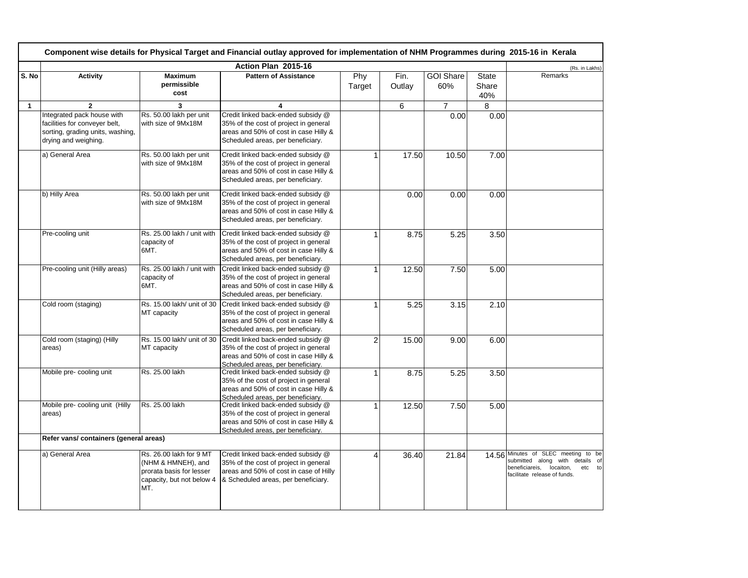| Component wise details for Physical Target and Financial outlay approved for implementation of NHM Programmes during 2015-16 in Kerala |                                                                                                                         |                                                                                                               |                                                                                                                                                              |               |                |                         |                              |                                                                                                                                                          |
|----------------------------------------------------------------------------------------------------------------------------------------|-------------------------------------------------------------------------------------------------------------------------|---------------------------------------------------------------------------------------------------------------|--------------------------------------------------------------------------------------------------------------------------------------------------------------|---------------|----------------|-------------------------|------------------------------|----------------------------------------------------------------------------------------------------------------------------------------------------------|
|                                                                                                                                        | Action Plan 2015-16                                                                                                     |                                                                                                               |                                                                                                                                                              |               |                |                         |                              |                                                                                                                                                          |
| S. No                                                                                                                                  | <b>Activity</b>                                                                                                         | <b>Maximum</b><br>permissible<br>cost                                                                         | <b>Pattern of Assistance</b>                                                                                                                                 | Phy<br>Target | Fin.<br>Outlay | <b>GOI Share</b><br>60% | <b>State</b><br>Share<br>40% | Remarks                                                                                                                                                  |
| $\mathbf{1}$                                                                                                                           | $\overline{2}$                                                                                                          | 3                                                                                                             | $\overline{4}$                                                                                                                                               |               | 6              | $\overline{7}$          | 8                            |                                                                                                                                                          |
|                                                                                                                                        | Integrated pack house with<br>facilities for conveyer belt,<br>sorting, grading units, washing,<br>drying and weighing. | Rs. 50.00 lakh per unit<br>with size of 9Mx18M                                                                | Credit linked back-ended subsidy @<br>35% of the cost of project in general<br>areas and 50% of cost in case Hilly &<br>Scheduled areas, per beneficiary.    |               |                | 0.00                    | 0.00                         |                                                                                                                                                          |
|                                                                                                                                        | a) General Area                                                                                                         | Rs. 50.00 lakh per unit<br>with size of 9Mx18M                                                                | Credit linked back-ended subsidy @<br>35% of the cost of project in general<br>areas and 50% of cost in case Hilly &<br>Scheduled areas, per beneficiary.    | $\mathbf{1}$  | 17.50          | 10.50                   | 7.00                         |                                                                                                                                                          |
|                                                                                                                                        | b) Hilly Area                                                                                                           | Rs. 50.00 lakh per unit<br>with size of 9Mx18M                                                                | Credit linked back-ended subsidy @<br>35% of the cost of project in general<br>areas and 50% of cost in case Hilly &<br>Scheduled areas, per beneficiary.    |               | 0.00           | 0.00                    | 0.00                         |                                                                                                                                                          |
|                                                                                                                                        | Pre-cooling unit                                                                                                        | Rs. 25.00 lakh / unit with<br>capacity of<br>6MT.                                                             | Credit linked back-ended subsidy @<br>35% of the cost of project in general<br>areas and 50% of cost in case Hilly &<br>Scheduled areas, per beneficiary.    | 1             | 8.75           | 5.25                    | 3.50                         |                                                                                                                                                          |
|                                                                                                                                        | Pre-cooling unit (Hilly areas)                                                                                          | Rs. 25.00 lakh / unit with<br>capacity of<br>6MT.                                                             | Credit linked back-ended subsidy @<br>35% of the cost of project in general<br>areas and 50% of cost in case Hilly &<br>Scheduled areas, per beneficiary.    | 1             | 12.50          | 7.50                    | 5.00                         |                                                                                                                                                          |
|                                                                                                                                        | Cold room (staging)                                                                                                     | Rs. 15.00 lakh/ unit of 30<br>MT capacity                                                                     | Credit linked back-ended subsidy @<br>35% of the cost of project in general<br>areas and 50% of cost in case Hilly &<br>Scheduled areas, per beneficiary.    | 1             | 5.25           | 3.15                    | 2.10                         |                                                                                                                                                          |
|                                                                                                                                        | Cold room (staging) (Hilly<br>areas)                                                                                    | Rs. 15.00 lakh/ unit of 30<br>MT capacity                                                                     | Credit linked back-ended subsidy @<br>35% of the cost of project in general<br>areas and 50% of cost in case Hilly &<br>Scheduled areas, per beneficiary.    | 2             | 15.00          | 9.00                    | 6.00                         |                                                                                                                                                          |
|                                                                                                                                        | Mobile pre- cooling unit                                                                                                | Rs. 25.00 lakh                                                                                                | Credit linked back-ended subsidy @<br>35% of the cost of project in general<br>areas and 50% of cost in case Hilly &<br>Scheduled areas, per beneficiary.    | $\mathbf{1}$  | 8.75           | 5.25                    | 3.50                         |                                                                                                                                                          |
|                                                                                                                                        | Mobile pre- cooling unit (Hilly<br>areas)                                                                               | Rs. 25.00 lakh                                                                                                | Credit linked back-ended subsidy @<br>35% of the cost of project in general<br>areas and 50% of cost in case Hilly &<br>Scheduled areas, per beneficiary.    | 1             | 12.50          | 7.50                    | 5.00                         |                                                                                                                                                          |
|                                                                                                                                        | Refer vans/ containers (general areas)                                                                                  |                                                                                                               |                                                                                                                                                              |               |                |                         |                              |                                                                                                                                                          |
|                                                                                                                                        | a) General Area                                                                                                         | Rs. 26.00 lakh for 9 MT<br>(NHM & HMNEH), and<br>prorata basis for lesser<br>capacity, but not below 4<br>MT. | Credit linked back-ended subsidy @<br>35% of the cost of project in general<br>areas and 50% of cost in case of Hilly<br>& Scheduled areas, per beneficiary. | 4             | 36.40          | 21.84                   |                              | 14.56 Minutes of SLEC<br>to be<br>meeting<br>submitted along with<br>details of<br>beneficiareis,<br>locaiton,<br>etc to<br>facilitate release of funds. |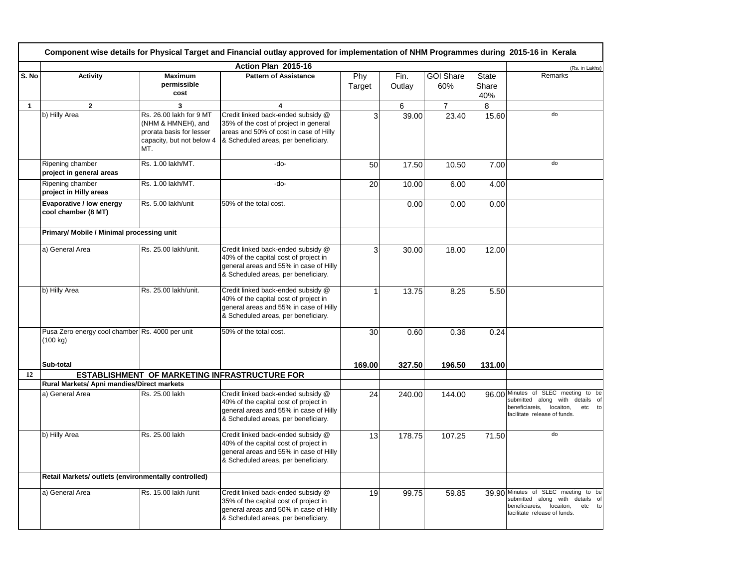|              | Component wise details for Physical Target and Financial outlay approved for implementation of NHM Programmes during 2015-16 in Kerala |                                                                                                               |                                                                                                                                                              |               |                |                         |                              |                                                                                                                                                    |  |
|--------------|----------------------------------------------------------------------------------------------------------------------------------------|---------------------------------------------------------------------------------------------------------------|--------------------------------------------------------------------------------------------------------------------------------------------------------------|---------------|----------------|-------------------------|------------------------------|----------------------------------------------------------------------------------------------------------------------------------------------------|--|
|              | Action Plan 2015-16                                                                                                                    |                                                                                                               |                                                                                                                                                              |               |                |                         |                              |                                                                                                                                                    |  |
| S. No        | <b>Activity</b>                                                                                                                        | <b>Maximum</b><br>permissible<br>cost                                                                         | <b>Pattern of Assistance</b>                                                                                                                                 | Phy<br>Target | Fin.<br>Outlay | <b>GOI Share</b><br>60% | <b>State</b><br>Share<br>40% | Remarks                                                                                                                                            |  |
| $\mathbf{1}$ | $\mathbf{2}$                                                                                                                           | $\overline{\mathbf{3}}$                                                                                       | 4                                                                                                                                                            |               | 6              | $\overline{7}$          | 8                            |                                                                                                                                                    |  |
|              | b) Hilly Area                                                                                                                          | Rs. 26.00 lakh for 9 MT<br>(NHM & HMNEH), and<br>prorata basis for lesser<br>capacity, but not below 4<br>MT. | Credit linked back-ended subsidy @<br>35% of the cost of project in general<br>areas and 50% of cost in case of Hilly<br>& Scheduled areas, per beneficiary. | 3             | 39.00          | 23.40                   | 15.60                        | do                                                                                                                                                 |  |
|              | Ripening chamber<br>project in general areas                                                                                           | Rs. 1.00 lakh/MT.                                                                                             | -do-                                                                                                                                                         | 50            | 17.50          | 10.50                   | 7.00                         | do                                                                                                                                                 |  |
|              | Ripening chamber<br>project in Hilly areas                                                                                             | Rs. 1.00 lakh/MT.                                                                                             | -do-                                                                                                                                                         | 20            | 10.00          | 6.00                    | 4.00                         |                                                                                                                                                    |  |
|              | Evaporative / low energy<br>cool chamber (8 MT)                                                                                        | Rs. 5.00 lakh/unit                                                                                            | 50% of the total cost.                                                                                                                                       |               | 0.00           | 0.00                    | 0.00                         |                                                                                                                                                    |  |
|              | Primary/ Mobile / Minimal processing unit                                                                                              |                                                                                                               |                                                                                                                                                              |               |                |                         |                              |                                                                                                                                                    |  |
|              | a) General Area                                                                                                                        | Rs. 25.00 lakh/unit.                                                                                          | Credit linked back-ended subsidy @<br>40% of the capital cost of project in<br>general areas and 55% in case of Hilly<br>& Scheduled areas, per beneficiary. | 3             | 30.00          | 18.00                   | 12.00                        |                                                                                                                                                    |  |
|              | b) Hilly Area                                                                                                                          | Rs. 25.00 lakh/unit.                                                                                          | Credit linked back-ended subsidy @<br>40% of the capital cost of project in<br>general areas and 55% in case of Hilly<br>& Scheduled areas, per beneficiary. | 1             | 13.75          | 8.25                    | 5.50                         |                                                                                                                                                    |  |
|              | Pusa Zero energy cool chamber Rs. 4000 per unit<br>$(100 \text{ kg})$                                                                  |                                                                                                               | 50% of the total cost.                                                                                                                                       | 30            | 0.60           | 0.36                    | 0.24                         |                                                                                                                                                    |  |
|              | Sub-total                                                                                                                              |                                                                                                               |                                                                                                                                                              | 169.00        | 327.50         | 196.50                  | 131.00                       |                                                                                                                                                    |  |
| 12           |                                                                                                                                        |                                                                                                               | ESTABLISHMENT OF MARKETING INFRASTRUCTURE FOR                                                                                                                |               |                |                         |                              |                                                                                                                                                    |  |
|              | Rural Markets/ Apni mandies/Direct markets                                                                                             |                                                                                                               |                                                                                                                                                              |               |                |                         |                              |                                                                                                                                                    |  |
|              | a) General Area                                                                                                                        | Rs. 25.00 lakh                                                                                                | Credit linked back-ended subsidy @<br>40% of the capital cost of project in<br>general areas and 55% in case of Hilly<br>& Scheduled areas, per beneficiary. | 24            | 240.00         | 144.00                  |                              | 96.00 Minutes of SLEC meeting to be<br>submitted along with details of<br>beneficiareis,<br>locaiton,<br>etc to<br>facilitate release of funds.    |  |
|              | b) Hilly Area                                                                                                                          | Rs. 25.00 lakh                                                                                                | Credit linked back-ended subsidy @<br>40% of the capital cost of project in<br>general areas and 55% in case of Hilly<br>& Scheduled areas, per beneficiary. | 13            | 178.75         | 107.25                  | 71.50                        | do                                                                                                                                                 |  |
|              | Retail Markets/ outlets (environmentally controlled)                                                                                   |                                                                                                               |                                                                                                                                                              |               |                |                         |                              |                                                                                                                                                    |  |
|              | a) General Area                                                                                                                        | Rs. 15.00 lakh / unit                                                                                         | Credit linked back-ended subsidy @<br>35% of the capital cost of project in<br>general areas and 50% in case of Hilly<br>& Scheduled areas, per beneficiary. | 19            | 99.75          | 59.85                   |                              | 39.90 Minutes of SLEC meeting to be<br>submitted along with<br>details of<br>beneficiareis,<br>locaiton,<br>etc to<br>facilitate release of funds. |  |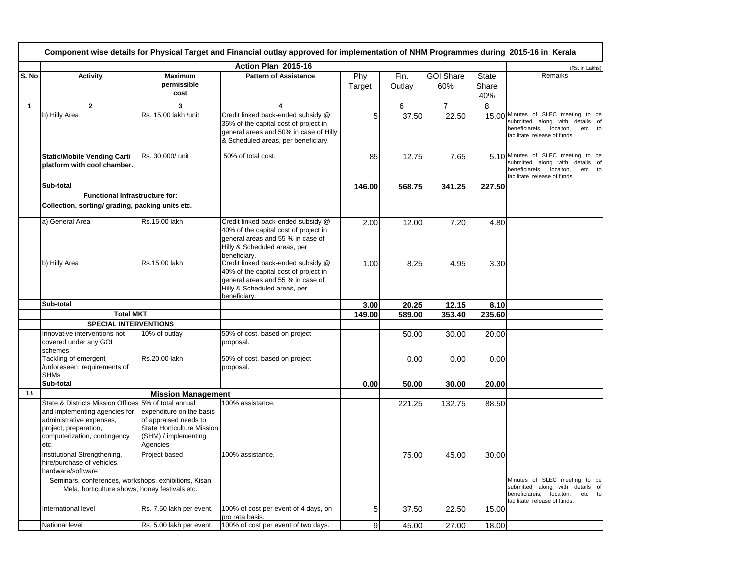|              | Component wise details for Physical Target and Financial outlay approved for implementation of NHM Programmes during 2015-16 in Kerala                                             |                                                                                                                            |                                                                                                                                                                  |               |                |                         |                              |                                                                                                                                                 |  |
|--------------|------------------------------------------------------------------------------------------------------------------------------------------------------------------------------------|----------------------------------------------------------------------------------------------------------------------------|------------------------------------------------------------------------------------------------------------------------------------------------------------------|---------------|----------------|-------------------------|------------------------------|-------------------------------------------------------------------------------------------------------------------------------------------------|--|
|              |                                                                                                                                                                                    |                                                                                                                            | Action Plan 2015-16                                                                                                                                              |               |                |                         |                              | (Rs. in Lakhs)                                                                                                                                  |  |
| S. No        | <b>Activity</b>                                                                                                                                                                    | <b>Maximum</b><br>permissible<br>cost                                                                                      | <b>Pattern of Assistance</b>                                                                                                                                     | Phy<br>Target | Fin.<br>Outlay | <b>GOI Share</b><br>60% | <b>State</b><br>Share<br>40% | Remarks                                                                                                                                         |  |
| $\mathbf{1}$ | $\mathbf{2}$                                                                                                                                                                       | 3                                                                                                                          | $\overline{\mathbf{4}}$                                                                                                                                          |               | 6              | $\overline{7}$          | 8                            |                                                                                                                                                 |  |
|              | b) Hilly Area                                                                                                                                                                      | Rs. 15.00 lakh / unit                                                                                                      | Credit linked back-ended subsidy @<br>35% of the capital cost of project in<br>general areas and 50% in case of Hilly<br>& Scheduled areas, per beneficiary.     | 5             | 37.50          | 22.50                   |                              | 15.00 Minutes of SLEC meeting to be<br>submitted along with details of<br>beneficiareis,<br>locaiton,<br>etc to<br>facilitate release of funds. |  |
|              | <b>Static/Mobile Vending Cart/</b><br>platform with cool chamber.                                                                                                                  | Rs. 30,000/ unit                                                                                                           | 50% of total cost.                                                                                                                                               | 85            | 12.75          | 7.65                    | 5.10                         | Minutes of SLEC meeting to be<br>submitted along with<br>details of<br>beneficiareis,<br>locaiton,<br>etc to<br>facilitate release of funds.    |  |
|              | Sub-total                                                                                                                                                                          |                                                                                                                            |                                                                                                                                                                  | 146.00        | 568.75         | 341.25                  | 227.50                       |                                                                                                                                                 |  |
|              | <b>Functional Infrastructure for:</b>                                                                                                                                              |                                                                                                                            |                                                                                                                                                                  |               |                |                         |                              |                                                                                                                                                 |  |
|              | Collection, sorting/ grading, packing units etc.                                                                                                                                   |                                                                                                                            |                                                                                                                                                                  |               |                |                         |                              |                                                                                                                                                 |  |
|              | a) General Area                                                                                                                                                                    | Rs.15.00 lakh                                                                                                              | Credit linked back-ended subsidy @<br>40% of the capital cost of project in<br>general areas and 55 % in case of<br>Hilly & Scheduled areas, per<br>beneficiary. | 2.00          | 12.00          | 7.20                    | 4.80                         |                                                                                                                                                 |  |
|              | b) Hilly Area                                                                                                                                                                      | Rs.15.00 lakh                                                                                                              | Credit linked back-ended subsidy @<br>40% of the capital cost of project in<br>general areas and 55 % in case of<br>Hilly & Scheduled areas, per<br>beneficiarv. | 1.00          | 8.25           | 4.95                    | 3.30                         |                                                                                                                                                 |  |
|              | Sub-total                                                                                                                                                                          |                                                                                                                            |                                                                                                                                                                  | 3.00          | 20.25          | 12.15                   | 8.10                         |                                                                                                                                                 |  |
|              | <b>Total MKT</b>                                                                                                                                                                   |                                                                                                                            |                                                                                                                                                                  | 149.00        | 589.00         | 353.40                  | 235.60                       |                                                                                                                                                 |  |
|              | <b>SPECIAL INTERVENTIONS</b>                                                                                                                                                       |                                                                                                                            |                                                                                                                                                                  |               |                |                         |                              |                                                                                                                                                 |  |
|              | Innovative interventions not<br>covered under any GOI<br>schemes                                                                                                                   | 10% of outlay                                                                                                              | 50% of cost, based on project<br>proposal.                                                                                                                       |               | 50.00          | 30.00                   | 20.00                        |                                                                                                                                                 |  |
|              | Tackling of emergent<br>/unforeseen requirements of<br><b>SHMs</b>                                                                                                                 | Rs.20.00 lakh                                                                                                              | 50% of cost, based on project<br>proposal.                                                                                                                       |               | 0.00           | 0.00                    | 0.00                         |                                                                                                                                                 |  |
|              | Sub-total                                                                                                                                                                          |                                                                                                                            |                                                                                                                                                                  | 0.00          | 50.00          | 30.00                   | 20.00                        |                                                                                                                                                 |  |
| 13           |                                                                                                                                                                                    | <b>Mission Management</b>                                                                                                  |                                                                                                                                                                  |               |                |                         |                              |                                                                                                                                                 |  |
|              | State & Districts Mission Offices 5% of total annual<br>and implementing agencies for<br>administrative expenses,<br>project, preparation,<br>computerization, contingency<br>etc. | expenditure on the basis<br>of appraised needs to<br><b>State Horticulture Mission</b><br>(SHM) / implementing<br>Agencies | 100% assistance.                                                                                                                                                 |               | 221.25         | 132.75                  | 88.50                        |                                                                                                                                                 |  |
|              | Institutional Strengthening,<br>hire/purchase of vehicles,<br>hardware/software                                                                                                    | Project based                                                                                                              | 100% assistance.                                                                                                                                                 |               | 75.00          | 45.00                   | 30.00                        |                                                                                                                                                 |  |
|              | Seminars, conferences, workshops, exhibitions, Kisan<br>Mela, horticulture shows, honey festivals etc.                                                                             |                                                                                                                            |                                                                                                                                                                  |               |                |                         |                              | Minutes of SLEC meeting to be<br>submitted along with details of<br>beneficiareis, locaiton,<br>etc to<br>facilitate release of funds.          |  |
|              | International level                                                                                                                                                                | Rs. 7.50 lakh per event.                                                                                                   | 100% of cost per event of 4 days, on<br>pro rata basis.                                                                                                          | 5             | 37.50          | 22.50                   | 15.00                        |                                                                                                                                                 |  |
|              | National level                                                                                                                                                                     | Rs. 5.00 lakh per event.                                                                                                   | 100% of cost per event of two days.                                                                                                                              | 9             | 45.00          | 27.00                   | 18.00                        |                                                                                                                                                 |  |